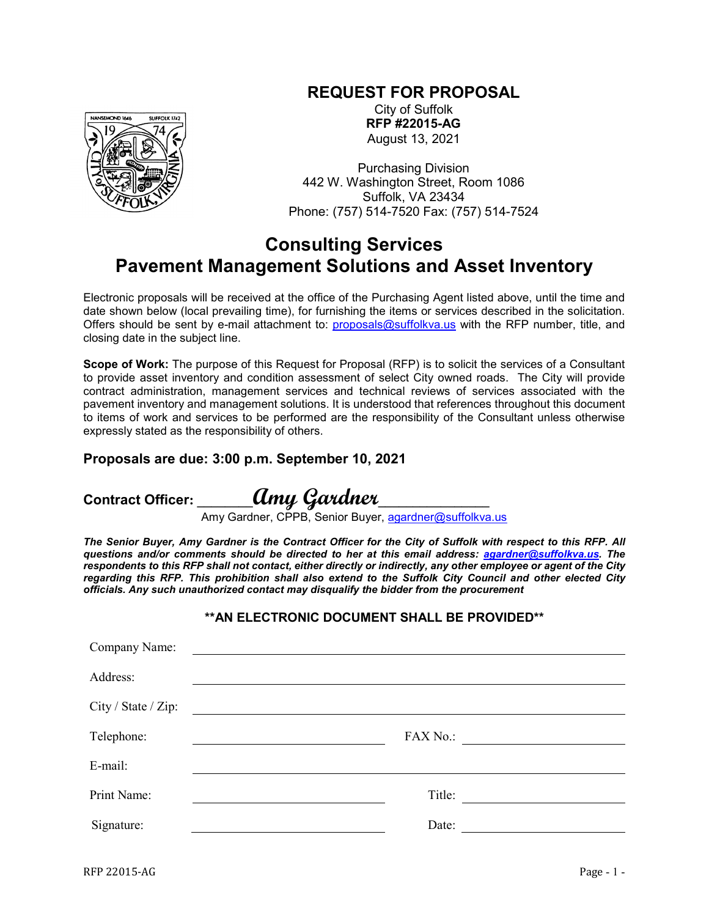## **REQUEST FOR PROPOSAL**



City of Suffolk **RFP #22015-AG** August 13, 2021

Purchasing Division 442 W. Washington Street, Room 1086 Suffolk, VA 23434 Phone: (757) 514-7520 Fax: (757) 514-7524

## **Consulting Services Pavement Management Solutions and Asset Inventory**

Electronic proposals will be received at the office of the Purchasing Agent listed above, until the time and date shown below (local prevailing time), for furnishing the items or services described in the solicitation. Offers should be sent by e-mail attachment to: [proposals@suffolkva.us](mailto:proposals@suffolkva.us) with the RFP number, title, and closing date in the subject line.

**Scope of Work:** The purpose of this Request for Proposal (RFP) is to solicit the services of a Consultant to provide asset inventory and condition assessment of select City owned roads. The City will provide contract administration, management services and technical reviews of services associated with the pavement inventory and management solutions. It is understood that references throughout this document to items of work and services to be performed are the responsibility of the Consultant unless otherwise expressly stated as the responsibility of others.

## **Proposals are due: 3:00 p.m. September 10, 2021**

**Contract Officer: \_\_\_\_\_\_\_\_Amy Gardner\_\_\_\_\_\_\_\_\_\_\_\_\_\_\_\_**

Amy Gardner, CPPB, Senior Buyer, [agardner@suffolkva.us](mailto:agardner@suffolkva.us)

*The Senior Buyer, Amy Gardner is the Contract Officer for the City of Suffolk with respect to this RFP. All questions and/or comments should be directed to her at this email address: [agardner@suffolkva.us.](mailto:agardner@suffolkva.us) The respondents to this RFP shall not contact, either directly or indirectly, any other employee or agent of the City regarding this RFP. This prohibition shall also extend to the Suffolk City Council and other elected City officials. Any such unauthorized contact may disqualify the bidder from the procurement*

**\*\*AN ELECTRONIC DOCUMENT SHALL BE PROVIDED\*\***

| Company Name:       |          |
|---------------------|----------|
| Address:            |          |
| City / State / Zip: |          |
| Telephone:          | FAX No.: |
| E-mail:             |          |
| Print Name:         | Title:   |
| Signature:          | Date:    |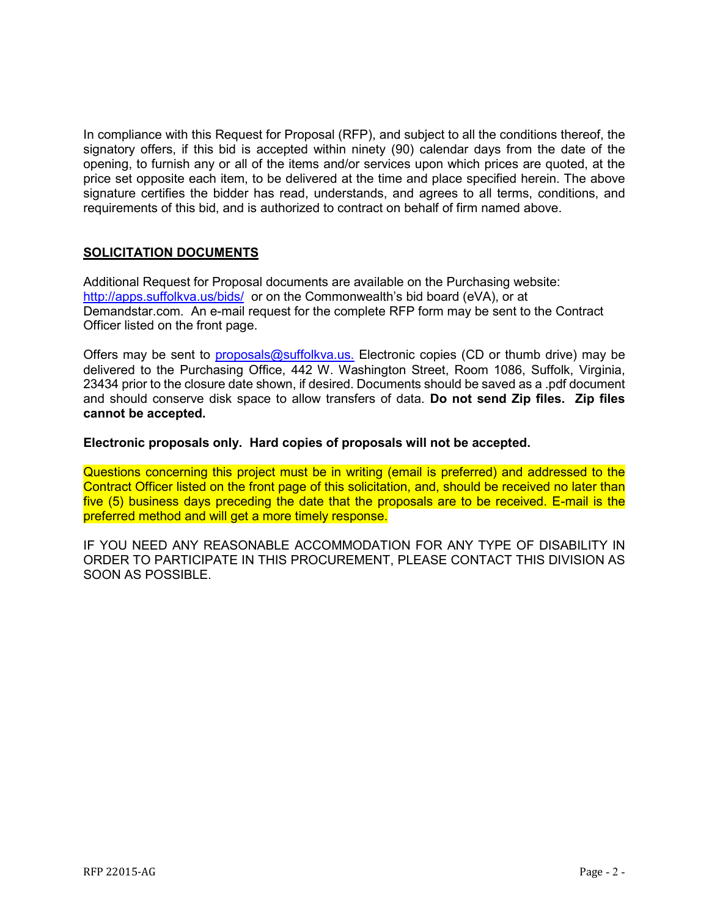In compliance with this Request for Proposal (RFP), and subject to all the conditions thereof, the signatory offers, if this bid is accepted within ninety (90) calendar days from the date of the opening, to furnish any or all of the items and/or services upon which prices are quoted, at the price set opposite each item, to be delivered at the time and place specified herein. The above signature certifies the bidder has read, understands, and agrees to all terms, conditions, and requirements of this bid, and is authorized to contract on behalf of firm named above.

## **SOLICITATION DOCUMENTS**

Additional Request for Proposal documents are available on the Purchasing website: <http://apps.suffolkva.us/bids/> or on the Commonwealth's bid board (eVA), or at Demandstar.com. An e-mail request for the complete RFP form may be sent to the Contract Officer listed on the front page.

Offers may be sent to *proposals@suffolkva.us.* Electronic copies (CD or thumb drive) may be delivered to the Purchasing Office, 442 W. Washington Street, Room 1086, Suffolk, Virginia, 23434 prior to the closure date shown, if desired. Documents should be saved as a .pdf document and should conserve disk space to allow transfers of data. **Do not send Zip files. Zip files cannot be accepted.**

**Electronic proposals only. Hard copies of proposals will not be accepted.**

Questions concerning this project must be in writing (email is preferred) and addressed to the Contract Officer listed on the front page of this solicitation, and, should be received no later than five (5) business days preceding the date that the proposals are to be received. E-mail is the preferred method and will get a more timely response.

IF YOU NEED ANY REASONABLE ACCOMMODATION FOR ANY TYPE OF DISABILITY IN ORDER TO PARTICIPATE IN THIS PROCUREMENT, PLEASE CONTACT THIS DIVISION AS SOON AS POSSIBLE.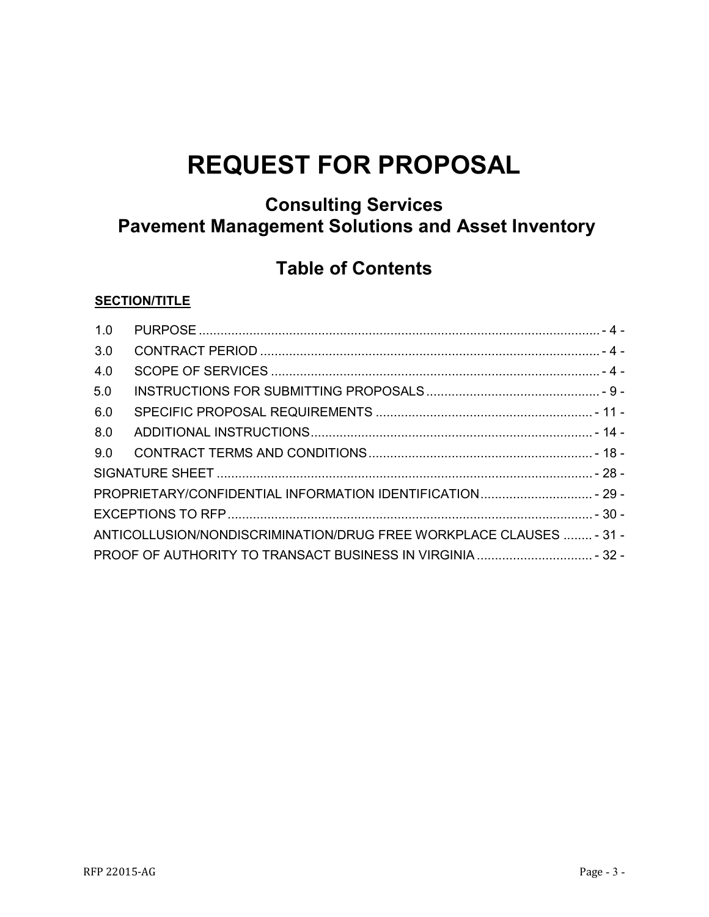# **REQUEST FOR PROPOSAL**

## **Consulting Services Pavement Management Solutions and Asset Inventory**

## **Table of Contents**

## **SECTION/TITLE**

| 1.0 |                                                                     |  |
|-----|---------------------------------------------------------------------|--|
| 3.0 |                                                                     |  |
| 4.0 |                                                                     |  |
| 5.0 |                                                                     |  |
| 6.0 |                                                                     |  |
| 8.0 |                                                                     |  |
| 9.0 |                                                                     |  |
|     |                                                                     |  |
|     |                                                                     |  |
|     |                                                                     |  |
|     | ANTICOLLUSION/NONDISCRIMINATION/DRUG FREE WORKPLACE CLAUSES  - 31 - |  |
|     | PROOF OF AUTHORITY TO TRANSACT BUSINESS IN VIRGINIA  - 32 -         |  |
|     |                                                                     |  |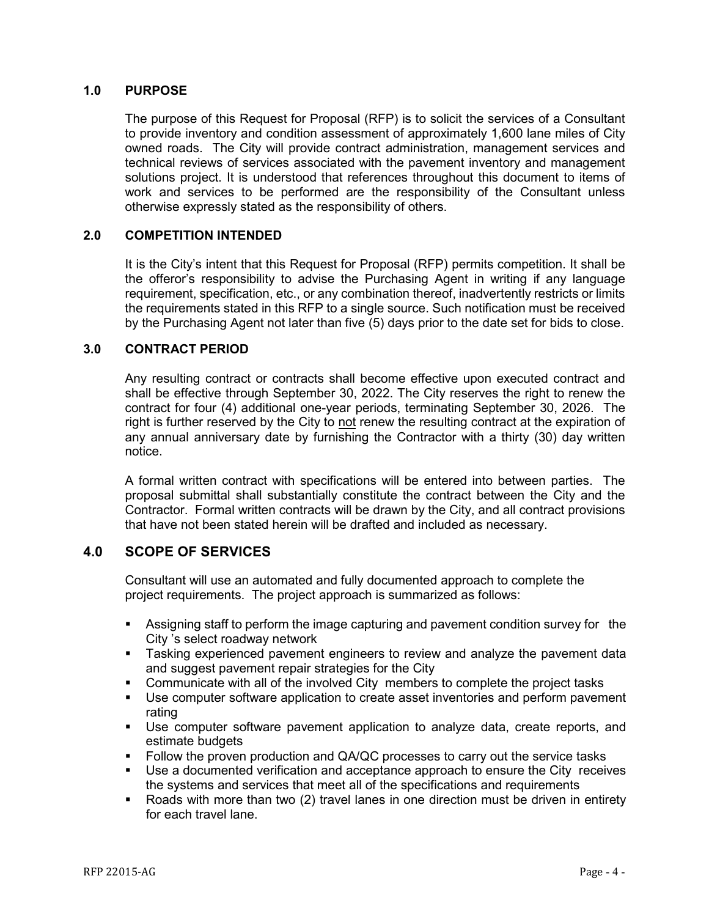### <span id="page-3-0"></span>**1.0 PURPOSE**

The purpose of this Request for Proposal (RFP) is to solicit the services of a Consultant to provide inventory and condition assessment of approximately 1,600 lane miles of City owned roads. The City will provide contract administration, management services and technical reviews of services associated with the pavement inventory and management solutions project. It is understood that references throughout this document to items of work and services to be performed are the responsibility of the Consultant unless otherwise expressly stated as the responsibility of others.

## **2.0 COMPETITION INTENDED**

It is the City's intent that this Request for Proposal (RFP) permits competition. It shall be the offeror's responsibility to advise the Purchasing Agent in writing if any language requirement, specification, etc., or any combination thereof, inadvertently restricts or limits the requirements stated in this RFP to a single source. Such notification must be received by the Purchasing Agent not later than five (5) days prior to the date set for bids to close.

#### <span id="page-3-1"></span>**3.0 CONTRACT PERIOD**

Any resulting contract or contracts shall become effective upon executed contract and shall be effective through September 30, 2022. The City reserves the right to renew the contract for four (4) additional one-year periods, terminating September 30, 2026. The right is further reserved by the City to not renew the resulting contract at the expiration of any annual anniversary date by furnishing the Contractor with a thirty (30) day written notice.

A formal written contract with specifications will be entered into between parties. The proposal submittal shall substantially constitute the contract between the City and the Contractor. Formal written contracts will be drawn by the City, and all contract provisions that have not been stated herein will be drafted and included as necessary.

## <span id="page-3-2"></span>**4.0 SCOPE OF SERVICES**

Consultant will use an automated and fully documented approach to complete the project requirements. The project approach is summarized as follows:

- Assigning staff to perform the image capturing and pavement condition survey for the City 's select roadway network
- **Tasking experienced pavement engineers to review and analyze the pavement data** and suggest pavement repair strategies for the City
- Communicate with all of the involved City members to complete the project tasks
- Use computer software application to create asset inventories and perform pavement rating
- Use computer software pavement application to analyze data, create reports, and estimate budgets
- Follow the proven production and QA/QC processes to carry out the service tasks
- **Use a documented verification and acceptance approach to ensure the City receives** the systems and services that meet all of the specifications and requirements
- Roads with more than two (2) travel lanes in one direction must be driven in entirety for each travel lane.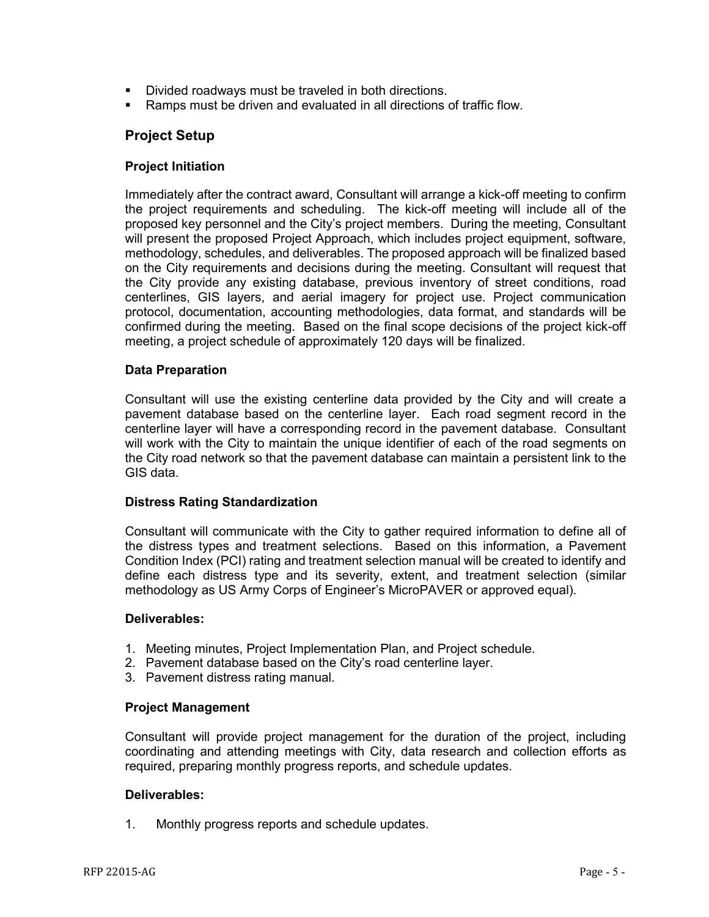- Divided roadways must be traveled in both directions.
- Ramps must be driven and evaluated in all directions of traffic flow.

## **Project Setup**

### **Project Initiation**

Immediately after the contract award, Consultant will arrange a kick-off meeting to confirm the project requirements and scheduling. The kick-off meeting will include all of the proposed key personnel and the City's project members. During the meeting, Consultant will present the proposed Project Approach, which includes project equipment, software, methodology, schedules, and deliverables. The proposed approach will be finalized based on the City requirements and decisions during the meeting. Consultant will request that the City provide any existing database, previous inventory of street conditions, road centerlines, GIS layers, and aerial imagery for project use. Project communication protocol, documentation, accounting methodologies, data format, and standards will be confirmed during the meeting. Based on the final scope decisions of the project kick-off meeting, a project schedule of approximately 120 days will be finalized.

### **Data Preparation**

Consultant will use the existing centerline data provided by the City and will create a pavement database based on the centerline layer. Each road segment record in the centerline layer will have a corresponding record in the pavement database. Consultant will work with the City to maintain the unique identifier of each of the road segments on the City road network so that the pavement database can maintain a persistent link to the GIS data.

#### **Distress Rating Standardization**

Consultant will communicate with the City to gather required information to define all of the distress types and treatment selections. Based on this information, a Pavement Condition Index (PCI) rating and treatment selection manual will be created to identify and define each distress type and its severity, extent, and treatment selection (similar methodology as US Army Corps of Engineer's MicroPAVER or approved equal).

#### **Deliverables:**

- 1. Meeting minutes, Project Implementation Plan, and Project schedule.
- 2. Pavement database based on the City's road centerline layer.
- 3. Pavement distress rating manual.

#### **Project Management**

Consultant will provide project management for the duration of the project, including coordinating and attending meetings with City, data research and collection efforts as required, preparing monthly progress reports, and schedule updates.

#### **Deliverables:**

1. Monthly progress reports and schedule updates.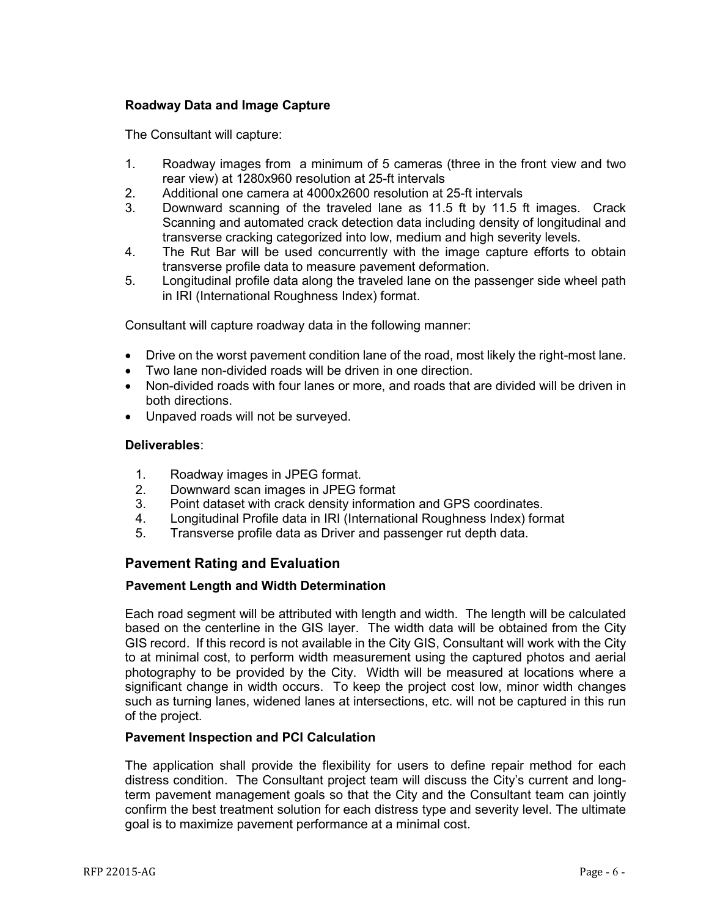## **Roadway Data and Image Capture**

The Consultant will capture:

- 1. Roadway images from a minimum of 5 cameras (three in the front view and two rear view) at 1280x960 resolution at 25-ft intervals
- 2. Additional one camera at 4000x2600 resolution at 25-ft intervals<br>3. Downward scanning of the traveled lane as 11.5 ft by 11.5 f
- 3. Downward scanning of the traveled lane as 11.5 ft by 11.5 ft images. Crack Scanning and automated crack detection data including density of longitudinal and transverse cracking categorized into low, medium and high severity levels.
- 4. The Rut Bar will be used concurrently with the image capture efforts to obtain transverse profile data to measure pavement deformation.
- 5. Longitudinal profile data along the traveled lane on the passenger side wheel path in IRI (International Roughness Index) format.

Consultant will capture roadway data in the following manner:

- Drive on the worst pavement condition lane of the road, most likely the right-most lane.
- Two lane non-divided roads will be driven in one direction.
- Non-divided roads with four lanes or more, and roads that are divided will be driven in both directions.
- Unpaved roads will not be surveyed.

#### **Deliverables**:

- 1. Roadway images in JPEG format.
- 2. Downward scan images in JPEG format
- 3. Point dataset with crack density information and GPS coordinates.
- 4. Longitudinal Profile data in IRI (International Roughness Index) format
- 5. Transverse profile data as Driver and passenger rut depth data.

## **Pavement Rating and Evaluation**

#### **Pavement Length and Width Determination**

Each road segment will be attributed with length and width. The length will be calculated based on the centerline in the GIS layer. The width data will be obtained from the City GIS record. If this record is not available in the City GIS, Consultant will work with the City to at minimal cost, to perform width measurement using the captured photos and aerial photography to be provided by the City. Width will be measured at locations where a significant change in width occurs. To keep the project cost low, minor width changes such as turning lanes, widened lanes at intersections, etc. will not be captured in this run of the project.

#### **Pavement Inspection and PCI Calculation**

The application shall provide the flexibility for users to define repair method for each distress condition. The Consultant project team will discuss the City's current and longterm pavement management goals so that the City and the Consultant team can jointly confirm the best treatment solution for each distress type and severity level. The ultimate goal is to maximize pavement performance at a minimal cost.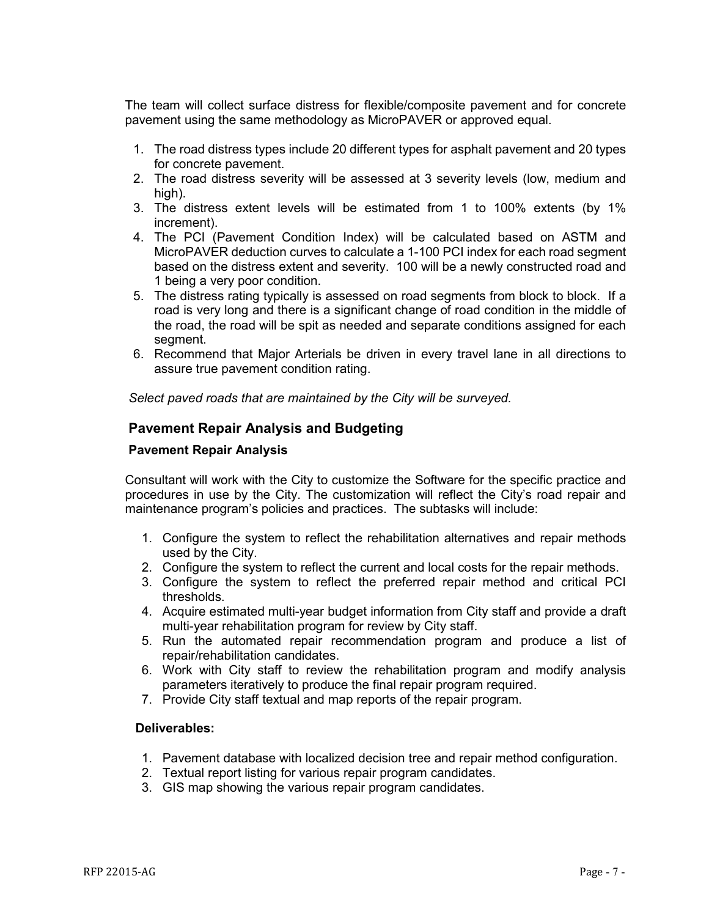The team will collect surface distress for flexible/composite pavement and for concrete pavement using the same methodology as MicroPAVER or approved equal.

- 1. The road distress types include 20 different types for asphalt pavement and 20 types for concrete pavement.
- 2. The road distress severity will be assessed at 3 severity levels (low, medium and high).
- 3. The distress extent levels will be estimated from 1 to 100% extents (by 1% increment).
- 4. The PCI (Pavement Condition Index) will be calculated based on ASTM and MicroPAVER deduction curves to calculate a 1-100 PCI index for each road segment based on the distress extent and severity. 100 will be a newly constructed road and 1 being a very poor condition.
- 5. The distress rating typically is assessed on road segments from block to block. If a road is very long and there is a significant change of road condition in the middle of the road, the road will be spit as needed and separate conditions assigned for each segment.
- 6. Recommend that Major Arterials be driven in every travel lane in all directions to assure true pavement condition rating.

*Select paved roads that are maintained by the City will be surveyed.* 

## **Pavement Repair Analysis and Budgeting**

#### **Pavement Repair Analysis**

Consultant will work with the City to customize the Software for the specific practice and procedures in use by the City. The customization will reflect the City's road repair and maintenance program's policies and practices. The subtasks will include:

- 1. Configure the system to reflect the rehabilitation alternatives and repair methods used by the City.
- 2. Configure the system to reflect the current and local costs for the repair methods.
- 3. Configure the system to reflect the preferred repair method and critical PCI thresholds.
- 4. Acquire estimated multi-year budget information from City staff and provide a draft multi-year rehabilitation program for review by City staff.
- 5. Run the automated repair recommendation program and produce a list of repair/rehabilitation candidates.
- 6. Work with City staff to review the rehabilitation program and modify analysis parameters iteratively to produce the final repair program required.
- 7. Provide City staff textual and map reports of the repair program.

#### **Deliverables:**

- 1. Pavement database with localized decision tree and repair method configuration.
- 2. Textual report listing for various repair program candidates.
- 3. GIS map showing the various repair program candidates.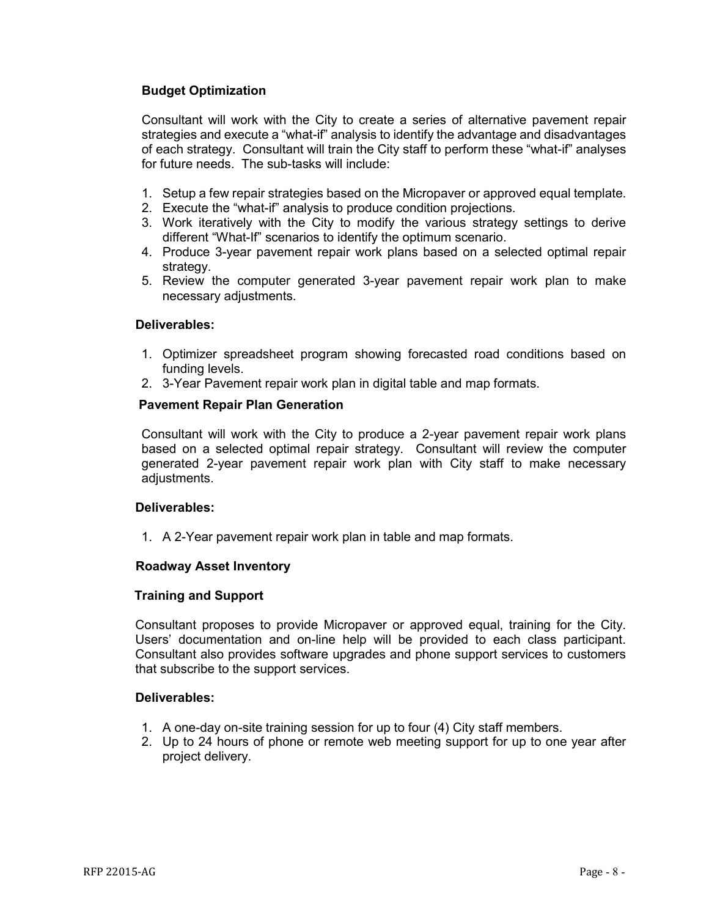## **Budget Optimization**

Consultant will work with the City to create a series of alternative pavement repair strategies and execute a "what-if" analysis to identify the advantage and disadvantages of each strategy. Consultant will train the City staff to perform these "what-if" analyses for future needs. The sub-tasks will include:

- 1. Setup a few repair strategies based on the Micropaver or approved equal template.
- 2. Execute the "what-if" analysis to produce condition projections.
- 3. Work iteratively with the City to modify the various strategy settings to derive different "What-If" scenarios to identify the optimum scenario.
- 4. Produce 3-year pavement repair work plans based on a selected optimal repair strategy.
- 5. Review the computer generated 3-year pavement repair work plan to make necessary adjustments.

#### **Deliverables:**

- 1. Optimizer spreadsheet program showing forecasted road conditions based on funding levels.
- 2. 3-Year Pavement repair work plan in digital table and map formats.

### **Pavement Repair Plan Generation**

Consultant will work with the City to produce a 2-year pavement repair work plans based on a selected optimal repair strategy. Consultant will review the computer generated 2-year pavement repair work plan with City staff to make necessary adjustments.

#### **Deliverables:**

1. A 2-Year pavement repair work plan in table and map formats.

## **Roadway Asset Inventory**

#### **Training and Support**

Consultant proposes to provide Micropaver or approved equal, training for the City. Users' documentation and on-line help will be provided to each class participant. Consultant also provides software upgrades and phone support services to customers that subscribe to the support services.

#### **Deliverables:**

- 1. A one-day on-site training session for up to four (4) City staff members.
- 2. Up to 24 hours of phone or remote web meeting support for up to one year after project delivery.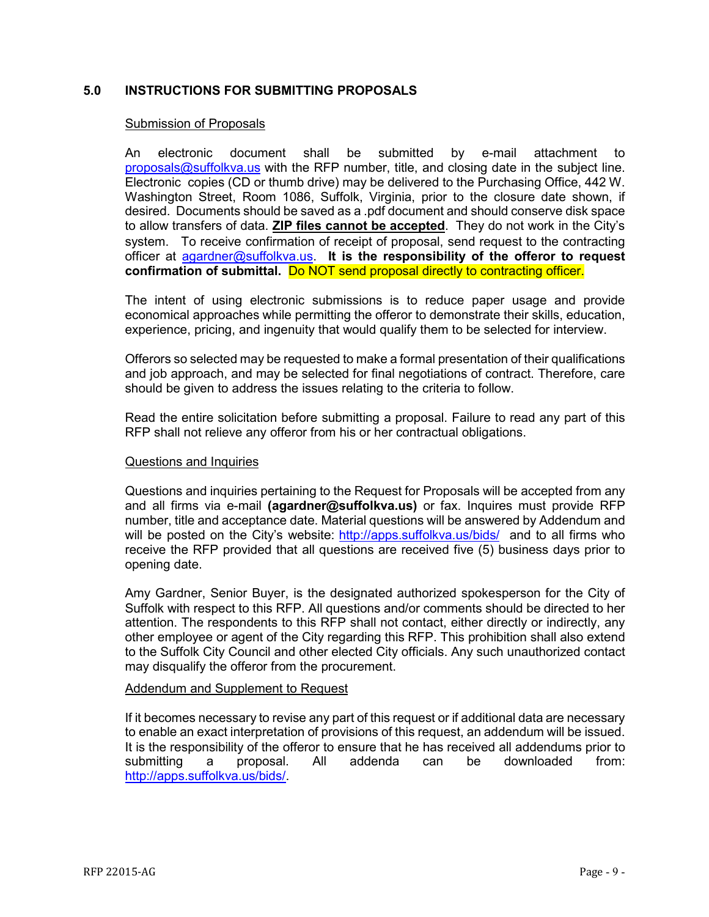## <span id="page-8-0"></span>**5.0 INSTRUCTIONS FOR SUBMITTING PROPOSALS**

#### Submission of Proposals

An electronic document shall be submitted by e-mail attachment to  $proposals@suffolkva.us$  with the RFP number, title, and closing date in the subject line. Electronic copies (CD or thumb drive) may be delivered to the Purchasing Office, 442 W. Washington Street, Room 1086, Suffolk, Virginia, prior to the closure date shown, if desired. Documents should be saved as a .pdf document and should conserve disk space to allow transfers of data. **ZIP files cannot be accepted**. They do not work in the City's system. To receive confirmation of receipt of proposal, send request to the contracting officer at [agardner@suffolkva.us.](mailto:agardner@suffolkva.us) **It is the responsibility of the offeror to request confirmation of submittal.** Do NOT send proposal directly to contracting officer.

The intent of using electronic submissions is to reduce paper usage and provide economical approaches while permitting the offeror to demonstrate their skills, education, experience, pricing, and ingenuity that would qualify them to be selected for interview.

Offerors so selected may be requested to make a formal presentation of their qualifications and job approach, and may be selected for final negotiations of contract. Therefore, care should be given to address the issues relating to the criteria to follow.

Read the entire solicitation before submitting a proposal. Failure to read any part of this RFP shall not relieve any offeror from his or her contractual obligations.

#### Questions and Inquiries

Questions and inquiries pertaining to the Request for Proposals will be accepted from any and all firms via e-mail **(agardner@suffolkva.us)** or fax. Inquires must provide RFP number, title and acceptance date. Material questions will be answered by Addendum and will be posted on the City's website: <http://apps.suffolkva.us/bids/>and to all firms who receive the RFP provided that all questions are received five (5) business days prior to opening date.

Amy Gardner, Senior Buyer, is the designated authorized spokesperson for the City of Suffolk with respect to this RFP. All questions and/or comments should be directed to her attention. The respondents to this RFP shall not contact, either directly or indirectly, any other employee or agent of the City regarding this RFP. This prohibition shall also extend to the Suffolk City Council and other elected City officials. Any such unauthorized contact may disqualify the offeror from the procurement.

#### Addendum and Supplement to Request

If it becomes necessary to revise any part of this request or if additional data are necessary to enable an exact interpretation of provisions of this request, an addendum will be issued. It is the responsibility of the offeror to ensure that he has received all addendums prior to submitting a proposal. All addenda can be downloaded from: [http://apps.suffolkva.us/bids/.](http://apps.suffolkva.us/bids/)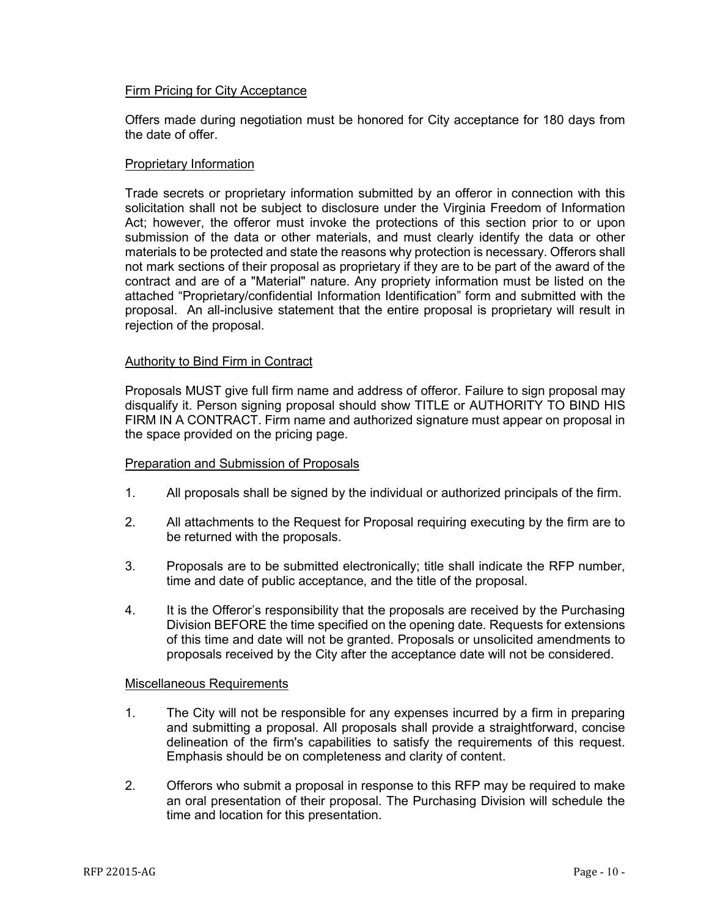#### Firm Pricing for City Acceptance

Offers made during negotiation must be honored for City acceptance for 180 days from the date of offer.

#### Proprietary Information

Trade secrets or proprietary information submitted by an offeror in connection with this solicitation shall not be subject to disclosure under the Virginia Freedom of Information Act; however, the offeror must invoke the protections of this section prior to or upon submission of the data or other materials, and must clearly identify the data or other materials to be protected and state the reasons why protection is necessary. Offerors shall not mark sections of their proposal as proprietary if they are to be part of the award of the contract and are of a "Material" nature. Any propriety information must be listed on the attached "Proprietary/confidential Information Identification" form and submitted with the proposal. An all-inclusive statement that the entire proposal is proprietary will result in rejection of the proposal.

### Authority to Bind Firm in Contract

Proposals MUST give full firm name and address of offeror. Failure to sign proposal may disqualify it. Person signing proposal should show TITLE or AUTHORITY TO BIND HIS FIRM IN A CONTRACT. Firm name and authorized signature must appear on proposal in the space provided on the pricing page.

#### Preparation and Submission of Proposals

- 1. All proposals shall be signed by the individual or authorized principals of the firm.
- 2. All attachments to the Request for Proposal requiring executing by the firm are to be returned with the proposals.
- 3. Proposals are to be submitted electronically; title shall indicate the RFP number, time and date of public acceptance, and the title of the proposal.
- 4. It is the Offeror's responsibility that the proposals are received by the Purchasing Division BEFORE the time specified on the opening date. Requests for extensions of this time and date will not be granted. Proposals or unsolicited amendments to proposals received by the City after the acceptance date will not be considered.

#### Miscellaneous Requirements

- 1. The City will not be responsible for any expenses incurred by a firm in preparing and submitting a proposal. All proposals shall provide a straightforward, concise delineation of the firm's capabilities to satisfy the requirements of this request. Emphasis should be on completeness and clarity of content.
- 2. Offerors who submit a proposal in response to this RFP may be required to make an oral presentation of their proposal. The Purchasing Division will schedule the time and location for this presentation.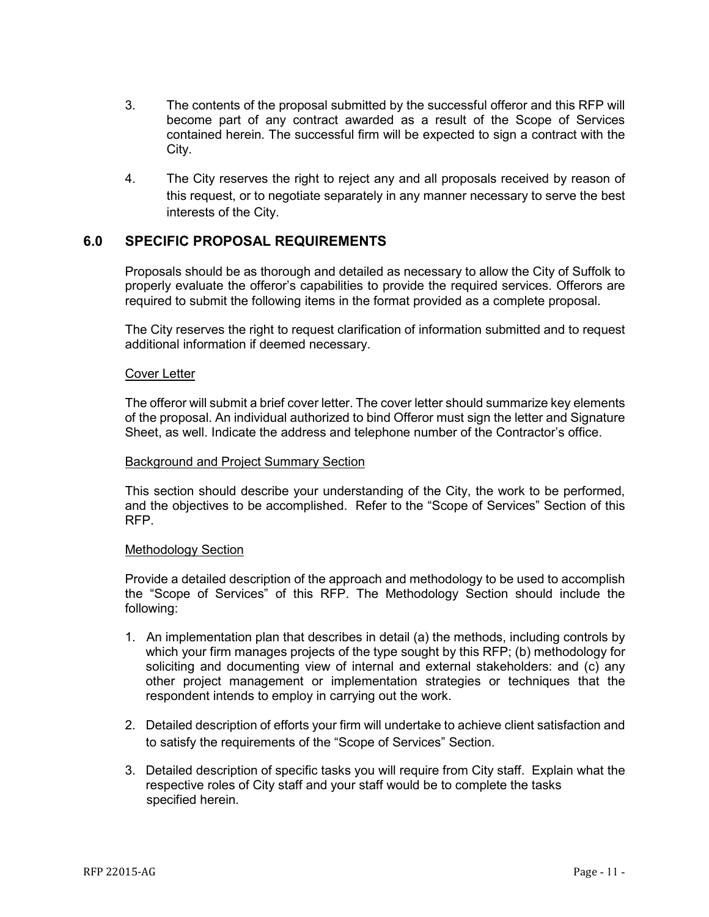- 3. The contents of the proposal submitted by the successful offeror and this RFP will become part of any contract awarded as a result of the Scope of Services contained herein. The successful firm will be expected to sign a contract with the City.
- 4. The City reserves the right to reject any and all proposals received by reason of this request, or to negotiate separately in any manner necessary to serve the best interests of the City.

## <span id="page-10-0"></span>**6.0 SPECIFIC PROPOSAL REQUIREMENTS**

Proposals should be as thorough and detailed as necessary to allow the City of Suffolk to properly evaluate the offeror's capabilities to provide the required services. Offerors are required to submit the following items in the format provided as a complete proposal.

The City reserves the right to request clarification of information submitted and to request additional information if deemed necessary.

#### Cover Letter

The offeror will submit a brief cover letter. The cover letter should summarize key elements of the proposal. An individual authorized to bind Offeror must sign the letter and Signature Sheet, as well. Indicate the address and telephone number of the Contractor's office.

#### Background and Project Summary Section

This section should describe your understanding of the City, the work to be performed, and the objectives to be accomplished. Refer to the "Scope of Services" Section of this RFP.

#### Methodology Section

Provide a detailed description of the approach and methodology to be used to accomplish the "Scope of Services" of this RFP. The Methodology Section should include the following:

- 1. An implementation plan that describes in detail (a) the methods, including controls by which your firm manages projects of the type sought by this RFP; (b) methodology for soliciting and documenting view of internal and external stakeholders: and (c) any other project management or implementation strategies or techniques that the respondent intends to employ in carrying out the work.
- 2. Detailed description of efforts your firm will undertake to achieve client satisfaction and to satisfy the requirements of the "Scope of Services" Section.
- 3. Detailed description of specific tasks you will require from City staff. Explain what the respective roles of City staff and your staff would be to complete the tasks specified herein.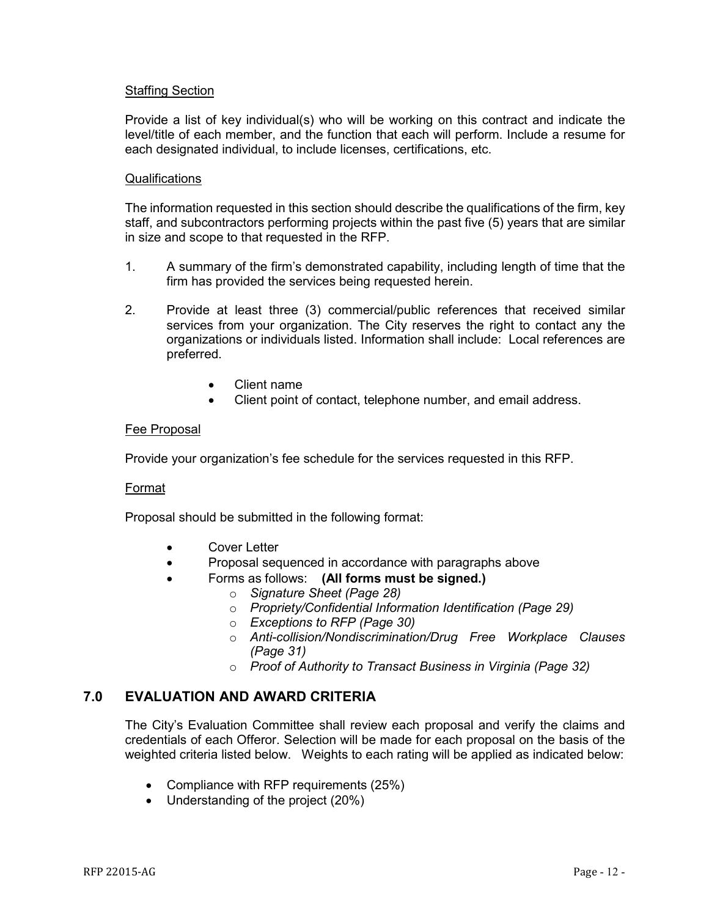### Staffing Section

Provide a list of key individual(s) who will be working on this contract and indicate the level/title of each member, and the function that each will perform. Include a resume for each designated individual, to include licenses, certifications, etc.

#### **Qualifications**

The information requested in this section should describe the qualifications of the firm, key staff, and subcontractors performing projects within the past five (5) years that are similar in size and scope to that requested in the RFP.

- 1. A summary of the firm's demonstrated capability, including length of time that the firm has provided the services being requested herein.
- 2. Provide at least three (3) commercial/public references that received similar services from your organization. The City reserves the right to contact any the organizations or individuals listed. Information shall include: Local references are preferred.
	- Client name
	- Client point of contact, telephone number, and email address.

#### Fee Proposal

Provide your organization's fee schedule for the services requested in this RFP.

#### Format

Proposal should be submitted in the following format:

- Cover Letter
- Proposal sequenced in accordance with paragraphs above
- Forms as follows: **(All forms must be signed.)**
	- o *Signature Sheet (Page 28)*
	- o *Propriety/Confidential Information Identification (Page 29)*
	- o *Exceptions to RFP (Page 30)*
	- o *Anti-collision/Nondiscrimination/Drug Free Workplace Clauses (Page 31)*
	- o *Proof of Authority to Transact Business in Virginia (Page 32)*

## **7.0 EVALUATION AND AWARD CRITERIA**

The City's Evaluation Committee shall review each proposal and verify the claims and credentials of each Offeror. Selection will be made for each proposal on the basis of the weighted criteria listed below. Weights to each rating will be applied as indicated below:

- Compliance with RFP requirements (25%)
- Understanding of the project (20%)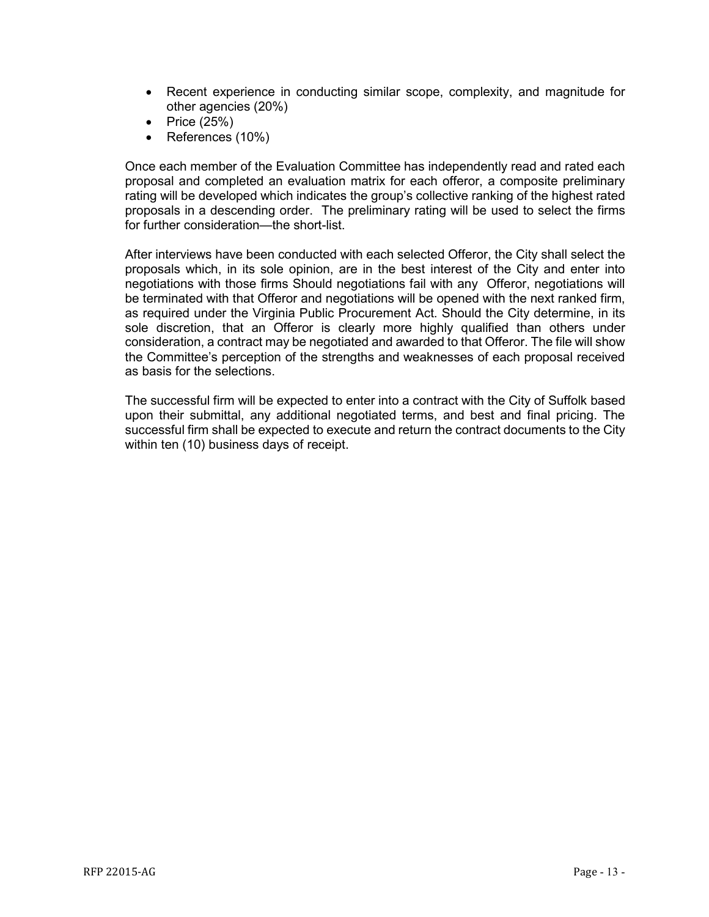- Recent experience in conducting similar scope, complexity, and magnitude for other agencies (20%)
- Price (25%)
- References (10%)

Once each member of the Evaluation Committee has independently read and rated each proposal and completed an evaluation matrix for each offeror, a composite preliminary rating will be developed which indicates the group's collective ranking of the highest rated proposals in a descending order. The preliminary rating will be used to select the firms for further consideration—the short-list.

After interviews have been conducted with each selected Offeror, the City shall select the proposals which, in its sole opinion, are in the best interest of the City and enter into negotiations with those firms Should negotiations fail with any Offeror, negotiations will be terminated with that Offeror and negotiations will be opened with the next ranked firm, as required under the Virginia Public Procurement Act. Should the City determine, in its sole discretion, that an Offeror is clearly more highly qualified than others under consideration, a contract may be negotiated and awarded to that Offeror. The file will show the Committee's perception of the strengths and weaknesses of each proposal received as basis for the selections.

The successful firm will be expected to enter into a contract with the City of Suffolk based upon their submittal, any additional negotiated terms, and best and final pricing. The successful firm shall be expected to execute and return the contract documents to the City within ten (10) business days of receipt.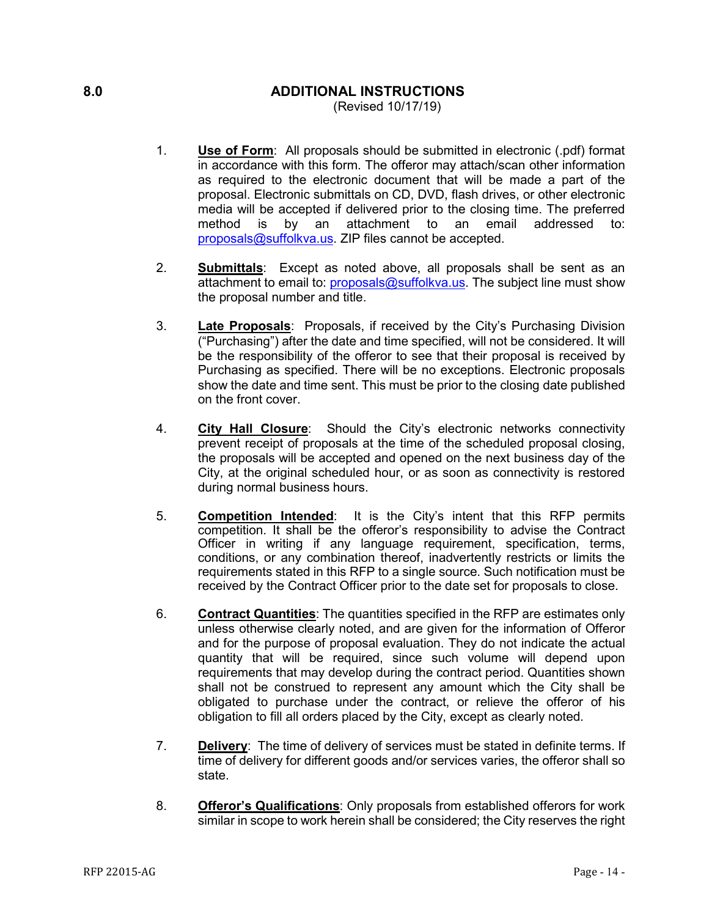## <span id="page-13-0"></span>**8.0 ADDITIONAL INSTRUCTIONS**

(Revised 10/17/19)

- 1. **Use of Form**: All proposals should be submitted in electronic (.pdf) format in accordance with this form. The offeror may attach/scan other information as required to the electronic document that will be made a part of the proposal. Electronic submittals on CD, DVD, flash drives, or other electronic media will be accepted if delivered prior to the closing time. The preferred method is by an attachment to an email addressed to: [proposals@suffolkva.us.](mailto:proposals@suffolkva.us) ZIP files cannot be accepted.
- 2. **Submittals**: Except as noted above, all proposals shall be sent as an attachment to email to: [proposals@suffolkva.us.](mailto:proposals@suffolkva.us) The subject line must show the proposal number and title.
- 3. **Late Proposals**: Proposals, if received by the City's Purchasing Division ("Purchasing") after the date and time specified, will not be considered. It will be the responsibility of the offeror to see that their proposal is received by Purchasing as specified. There will be no exceptions. Electronic proposals show the date and time sent. This must be prior to the closing date published on the front cover.
- 4. **City Hall Closure**: Should the City's electronic networks connectivity prevent receipt of proposals at the time of the scheduled proposal closing, the proposals will be accepted and opened on the next business day of the City, at the original scheduled hour, or as soon as connectivity is restored during normal business hours.
- 5. **Competition Intended**: It is the City's intent that this RFP permits competition. It shall be the offeror's responsibility to advise the Contract Officer in writing if any language requirement, specification, terms, conditions, or any combination thereof, inadvertently restricts or limits the requirements stated in this RFP to a single source. Such notification must be received by the Contract Officer prior to the date set for proposals to close.
- 6. **Contract Quantities**: The quantities specified in the RFP are estimates only unless otherwise clearly noted, and are given for the information of Offeror and for the purpose of proposal evaluation. They do not indicate the actual quantity that will be required, since such volume will depend upon requirements that may develop during the contract period. Quantities shown shall not be construed to represent any amount which the City shall be obligated to purchase under the contract, or relieve the offeror of his obligation to fill all orders placed by the City, except as clearly noted.
- 7. **Delivery**: The time of delivery of services must be stated in definite terms. If time of delivery for different goods and/or services varies, the offeror shall so state.
- 8. **Offeror's Qualifications**: Only proposals from established offerors for work similar in scope to work herein shall be considered; the City reserves the right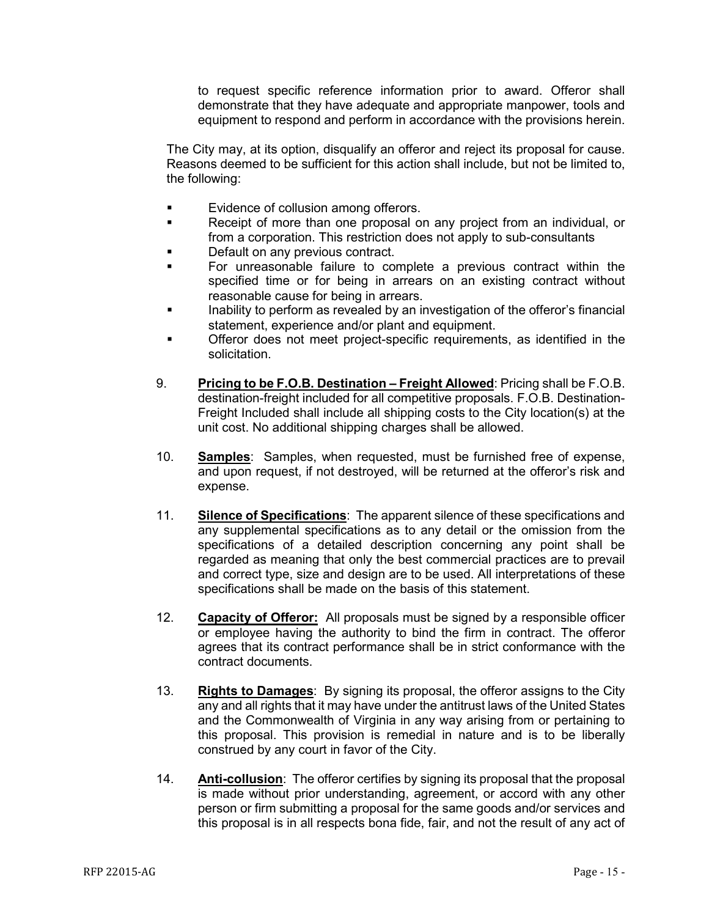to request specific reference information prior to award. Offeror shall demonstrate that they have adequate and appropriate manpower, tools and equipment to respond and perform in accordance with the provisions herein.

The City may, at its option, disqualify an offeror and reject its proposal for cause. Reasons deemed to be sufficient for this action shall include, but not be limited to, the following:

- **Evidence of collusion among offerors.**
- **Receipt of more than one proposal on any project from an individual, or** from a corporation. This restriction does not apply to sub-consultants
- Default on any previous contract.
- For unreasonable failure to complete a previous contract within the specified time or for being in arrears on an existing contract without reasonable cause for being in arrears.
- Inability to perform as revealed by an investigation of the offeror's financial statement, experience and/or plant and equipment.
- Offeror does not meet project-specific requirements, as identified in the solicitation.
- 9. **Pricing to be F.O.B. Destination – Freight Allowed**: Pricing shall be F.O.B. destination-freight included for all competitive proposals. F.O.B. Destination-Freight Included shall include all shipping costs to the City location(s) at the unit cost. No additional shipping charges shall be allowed.
- 10. **Samples**: Samples, when requested, must be furnished free of expense, and upon request, if not destroyed, will be returned at the offeror's risk and expense.
- 11. **Silence of Specifications**: The apparent silence of these specifications and any supplemental specifications as to any detail or the omission from the specifications of a detailed description concerning any point shall be regarded as meaning that only the best commercial practices are to prevail and correct type, size and design are to be used. All interpretations of these specifications shall be made on the basis of this statement.
- 12. **Capacity of Offeror:** All proposals must be signed by a responsible officer or employee having the authority to bind the firm in contract. The offeror agrees that its contract performance shall be in strict conformance with the contract documents.
- 13. **Rights to Damages**: By signing its proposal, the offeror assigns to the City any and all rights that it may have under the antitrust laws of the United States and the Commonwealth of Virginia in any way arising from or pertaining to this proposal. This provision is remedial in nature and is to be liberally construed by any court in favor of the City.
- 14. **Anti-collusion**: The offeror certifies by signing its proposal that the proposal is made without prior understanding, agreement, or accord with any other person or firm submitting a proposal for the same goods and/or services and this proposal is in all respects bona fide, fair, and not the result of any act of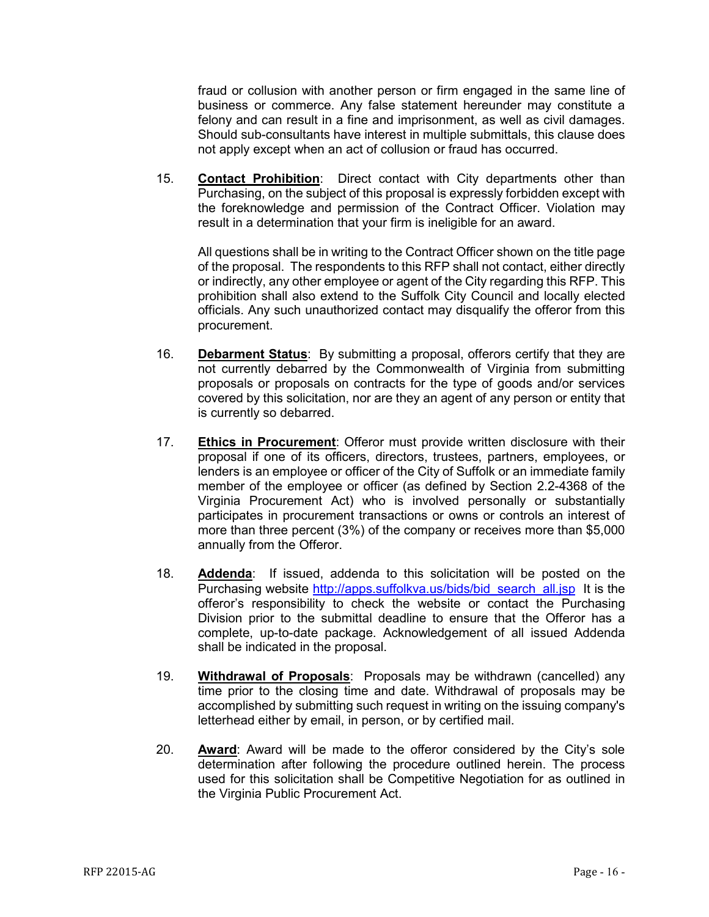fraud or collusion with another person or firm engaged in the same line of business or commerce. Any false statement hereunder may constitute a felony and can result in a fine and imprisonment, as well as civil damages. Should sub-consultants have interest in multiple submittals, this clause does not apply except when an act of collusion or fraud has occurred.

15. **Contact Prohibition**: Direct contact with City departments other than Purchasing, on the subject of this proposal is expressly forbidden except with the foreknowledge and permission of the Contract Officer. Violation may result in a determination that your firm is ineligible for an award.

All questions shall be in writing to the Contract Officer shown on the title page of the proposal. The respondents to this RFP shall not contact, either directly or indirectly, any other employee or agent of the City regarding this RFP. This prohibition shall also extend to the Suffolk City Council and locally elected officials. Any such unauthorized contact may disqualify the offeror from this procurement.

- 16. **Debarment Status**: By submitting a proposal, offerors certify that they are not currently debarred by the Commonwealth of Virginia from submitting proposals or proposals on contracts for the type of goods and/or services covered by this solicitation, nor are they an agent of any person or entity that is currently so debarred.
- 17. **Ethics in Procurement**: Offeror must provide written disclosure with their proposal if one of its officers, directors, trustees, partners, employees, or lenders is an employee or officer of the City of Suffolk or an immediate family member of the employee or officer (as defined by Section 2.2-4368 of the Virginia Procurement Act) who is involved personally or substantially participates in procurement transactions or owns or controls an interest of more than three percent (3%) of the company or receives more than \$5,000 annually from the Offeror.
- 18. **Addenda**: If issued, addenda to this solicitation will be posted on the Purchasing website [http://apps.suffolkva.us/bids/bid\\_search\\_all.jsp](http://apps.suffolkva.us/bids/bid_search_all.jsp) It is the offeror's responsibility to check the website or contact the Purchasing Division prior to the submittal deadline to ensure that the Offeror has a complete, up-to-date package. Acknowledgement of all issued Addenda shall be indicated in the proposal.
- 19. **Withdrawal of Proposals**: Proposals may be withdrawn (cancelled) any time prior to the closing time and date. Withdrawal of proposals may be accomplished by submitting such request in writing on the issuing company's letterhead either by email, in person, or by certified mail.
- 20. **Award**: Award will be made to the offeror considered by the City's sole determination after following the procedure outlined herein. The process used for this solicitation shall be Competitive Negotiation for as outlined in the Virginia Public Procurement Act.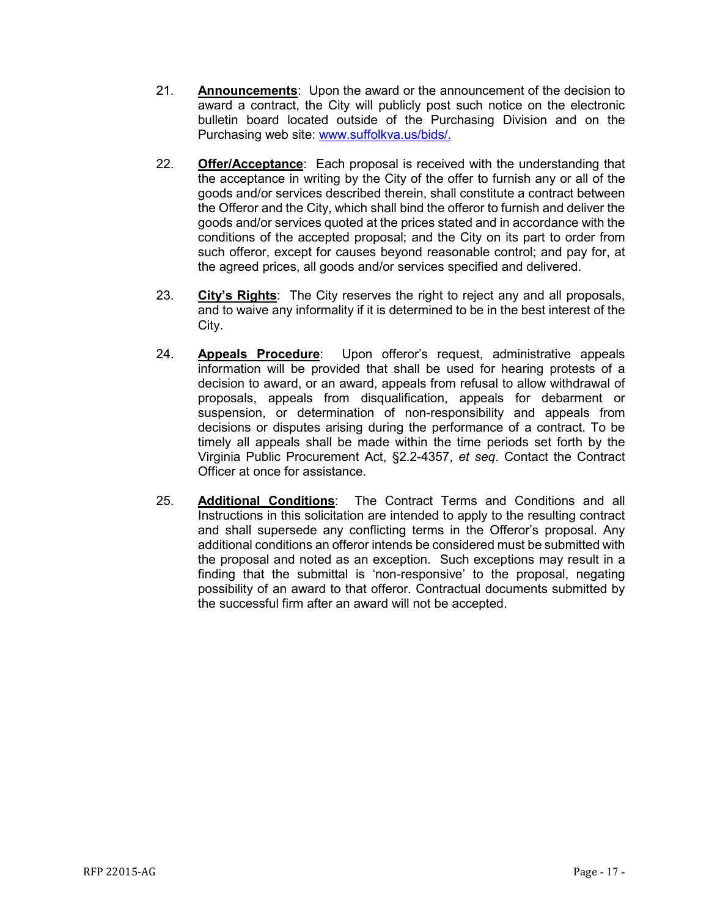- 21. **Announcements**: Upon the award or the announcement of the decision to award a contract, the City will publicly post such notice on the electronic bulletin board located outside of the Purchasing Division and on the Purchasing web site: [www.suffolkva.us/bids/.](http://www.suffolkva.us/bids/)
- 22. **Offer/Acceptance**: Each proposal is received with the understanding that the acceptance in writing by the City of the offer to furnish any or all of the goods and/or services described therein, shall constitute a contract between the Offeror and the City, which shall bind the offeror to furnish and deliver the goods and/or services quoted at the prices stated and in accordance with the conditions of the accepted proposal; and the City on its part to order from such offeror, except for causes beyond reasonable control; and pay for, at the agreed prices, all goods and/or services specified and delivered.
- 23. **City's Rights**: The City reserves the right to reject any and all proposals, and to waive any informality if it is determined to be in the best interest of the City.
- 24. **Appeals Procedure**: Upon offeror's request, administrative appeals information will be provided that shall be used for hearing protests of a decision to award, or an award, appeals from refusal to allow withdrawal of proposals, appeals from disqualification, appeals for debarment or suspension, or determination of non-responsibility and appeals from decisions or disputes arising during the performance of a contract. To be timely all appeals shall be made within the time periods set forth by the Virginia Public Procurement Act, §2.2-4357, *et seq*. Contact the Contract Officer at once for assistance.
- 25. **Additional Conditions**: The Contract Terms and Conditions and all Instructions in this solicitation are intended to apply to the resulting contract and shall supersede any conflicting terms in the Offeror's proposal. Any additional conditions an offeror intends be considered must be submitted with the proposal and noted as an exception. Such exceptions may result in a finding that the submittal is 'non-responsive' to the proposal, negating possibility of an award to that offeror. Contractual documents submitted by the successful firm after an award will not be accepted.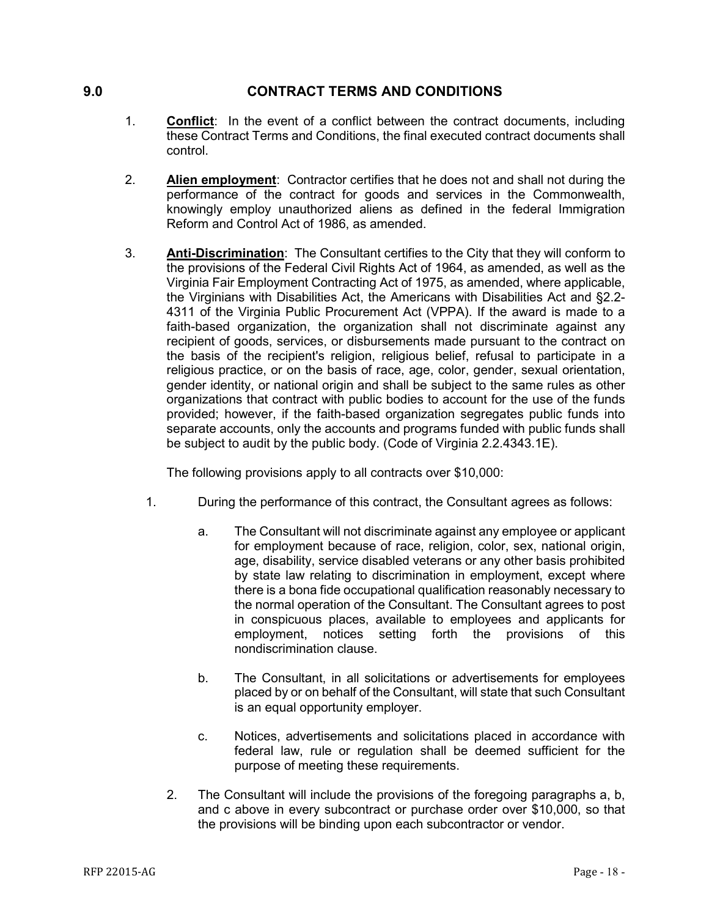## <span id="page-17-0"></span>**9.0 CONTRACT TERMS AND CONDITIONS**

- 1. **Conflict**: In the event of a conflict between the contract documents, including these Contract Terms and Conditions, the final executed contract documents shall control.
- 2. **Alien employment**: Contractor certifies that he does not and shall not during the performance of the contract for goods and services in the Commonwealth, knowingly employ unauthorized aliens as defined in the federal Immigration Reform and Control Act of 1986, as amended.
- 3. **Anti-Discrimination**: The Consultant certifies to the City that they will conform to the provisions of the Federal Civil Rights Act of 1964, as amended, as well as the Virginia Fair Employment Contracting Act of 1975, as amended, where applicable, the Virginians with Disabilities Act, the Americans with Disabilities Act and §2.2- 4311 of the Virginia Public Procurement Act (VPPA). If the award is made to a faith-based organization, the organization shall not discriminate against any recipient of goods, services, or disbursements made pursuant to the contract on the basis of the recipient's religion, religious belief, refusal to participate in a religious practice, or on the basis of race, age, color, gender, sexual orientation, gender identity, or national origin and shall be subject to the same rules as other organizations that contract with public bodies to account for the use of the funds provided; however, if the faith-based organization segregates public funds into separate accounts, only the accounts and programs funded with public funds shall be subject to audit by the public body. (Code of Virginia 2.2.4343.1E).

The following provisions apply to all contracts over \$10,000:

- 1. During the performance of this contract, the Consultant agrees as follows:
	- a. The Consultant will not discriminate against any employee or applicant for employment because of race, religion, color, sex, national origin, age, disability, service disabled veterans or any other basis prohibited by state law relating to discrimination in employment, except where there is a bona fide occupational qualification reasonably necessary to the normal operation of the Consultant. The Consultant agrees to post in conspicuous places, available to employees and applicants for employment, notices setting forth the provisions of this nondiscrimination clause.
	- b. The Consultant, in all solicitations or advertisements for employees placed by or on behalf of the Consultant, will state that such Consultant is an equal opportunity employer.
	- c. Notices, advertisements and solicitations placed in accordance with federal law, rule or regulation shall be deemed sufficient for the purpose of meeting these requirements.
	- 2. The Consultant will include the provisions of the foregoing paragraphs a, b, and c above in every subcontract or purchase order over \$10,000, so that the provisions will be binding upon each subcontractor or vendor.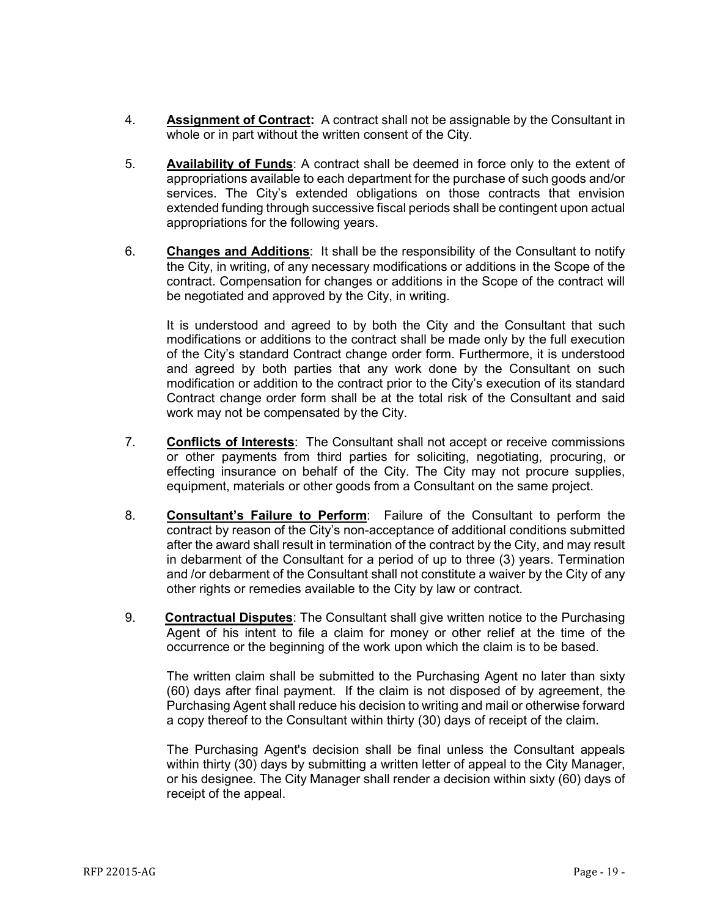- 4. **Assignment of Contract:** A contract shall not be assignable by the Consultant in whole or in part without the written consent of the City.
- 5. **Availability of Funds**: A contract shall be deemed in force only to the extent of appropriations available to each department for the purchase of such goods and/or services. The City's extended obligations on those contracts that envision extended funding through successive fiscal periods shall be contingent upon actual appropriations for the following years.
- 6. **Changes and Additions**: It shall be the responsibility of the Consultant to notify the City, in writing, of any necessary modifications or additions in the Scope of the contract. Compensation for changes or additions in the Scope of the contract will be negotiated and approved by the City, in writing.

It is understood and agreed to by both the City and the Consultant that such modifications or additions to the contract shall be made only by the full execution of the City's standard Contract change order form. Furthermore, it is understood and agreed by both parties that any work done by the Consultant on such modification or addition to the contract prior to the City's execution of its standard Contract change order form shall be at the total risk of the Consultant and said work may not be compensated by the City.

- 7. **Conflicts of Interests**: The Consultant shall not accept or receive commissions or other payments from third parties for soliciting, negotiating, procuring, or effecting insurance on behalf of the City. The City may not procure supplies, equipment, materials or other goods from a Consultant on the same project.
- 8. **Consultant's Failure to Perform**: Failure of the Consultant to perform the contract by reason of the City's non-acceptance of additional conditions submitted after the award shall result in termination of the contract by the City, and may result in debarment of the Consultant for a period of up to three (3) years. Termination and /or debarment of the Consultant shall not constitute a waiver by the City of any other rights or remedies available to the City by law or contract.
- 9. **Contractual Disputes**: The Consultant shall give written notice to the Purchasing Agent of his intent to file a claim for money or other relief at the time of the occurrence or the beginning of the work upon which the claim is to be based.

The written claim shall be submitted to the Purchasing Agent no later than sixty (60) days after final payment. If the claim is not disposed of by agreement, the Purchasing Agent shall reduce his decision to writing and mail or otherwise forward a copy thereof to the Consultant within thirty (30) days of receipt of the claim.

The Purchasing Agent's decision shall be final unless the Consultant appeals within thirty (30) days by submitting a written letter of appeal to the City Manager, or his designee. The City Manager shall render a decision within sixty (60) days of receipt of the appeal.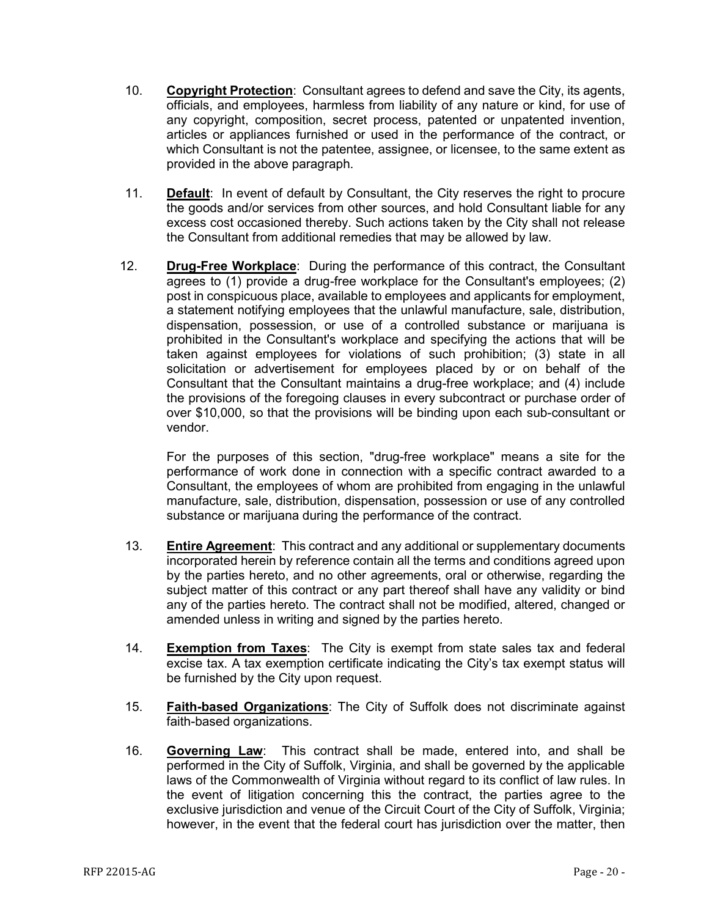- 10. **Copyright Protection**: Consultant agrees to defend and save the City, its agents, officials, and employees, harmless from liability of any nature or kind, for use of any copyright, composition, secret process, patented or unpatented invention, articles or appliances furnished or used in the performance of the contract, or which Consultant is not the patentee, assignee, or licensee, to the same extent as provided in the above paragraph.
- 11. **Default**: In event of default by Consultant, the City reserves the right to procure the goods and/or services from other sources, and hold Consultant liable for any excess cost occasioned thereby. Such actions taken by the City shall not release the Consultant from additional remedies that may be allowed by law.
- 12. **Drug-Free Workplace**: During the performance of this contract, the Consultant agrees to (1) provide a drug-free workplace for the Consultant's employees; (2) post in conspicuous place, available to employees and applicants for employment, a statement notifying employees that the unlawful manufacture, sale, distribution, dispensation, possession, or use of a controlled substance or marijuana is prohibited in the Consultant's workplace and specifying the actions that will be taken against employees for violations of such prohibition; (3) state in all solicitation or advertisement for employees placed by or on behalf of the Consultant that the Consultant maintains a drug-free workplace; and (4) include the provisions of the foregoing clauses in every subcontract or purchase order of over \$10,000, so that the provisions will be binding upon each sub-consultant or vendor.

For the purposes of this section, "drug-free workplace" means a site for the performance of work done in connection with a specific contract awarded to a Consultant, the employees of whom are prohibited from engaging in the unlawful manufacture, sale, distribution, dispensation, possession or use of any controlled substance or marijuana during the performance of the contract.

- 13. **Entire Agreement**: This contract and any additional or supplementary documents incorporated herein by reference contain all the terms and conditions agreed upon by the parties hereto, and no other agreements, oral or otherwise, regarding the subject matter of this contract or any part thereof shall have any validity or bind any of the parties hereto. The contract shall not be modified, altered, changed or amended unless in writing and signed by the parties hereto.
- 14. **Exemption from Taxes**: The City is exempt from state sales tax and federal excise tax. A tax exemption certificate indicating the City's tax exempt status will be furnished by the City upon request.
- 15. **Faith-based Organizations**: The City of Suffolk does not discriminate against faith-based organizations.
- 16. **Governing Law**: This contract shall be made, entered into, and shall be performed in the City of Suffolk, Virginia, and shall be governed by the applicable laws of the Commonwealth of Virginia without regard to its conflict of law rules. In the event of litigation concerning this the contract, the parties agree to the exclusive jurisdiction and venue of the Circuit Court of the City of Suffolk, Virginia; however, in the event that the federal court has jurisdiction over the matter, then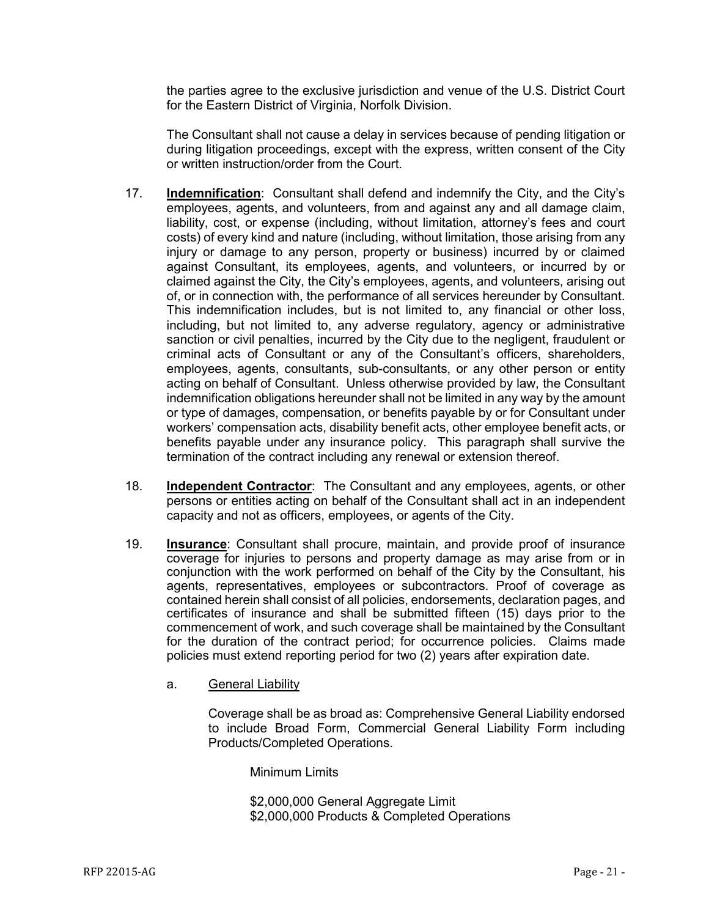the parties agree to the exclusive jurisdiction and venue of the U.S. District Court for the Eastern District of Virginia, Norfolk Division.

The Consultant shall not cause a delay in services because of pending litigation or during litigation proceedings, except with the express, written consent of the City or written instruction/order from the Court.

- 17. **Indemnification**: Consultant shall defend and indemnify the City, and the City's employees, agents, and volunteers, from and against any and all damage claim, liability, cost, or expense (including, without limitation, attorney's fees and court costs) of every kind and nature (including, without limitation, those arising from any injury or damage to any person, property or business) incurred by or claimed against Consultant, its employees, agents, and volunteers, or incurred by or claimed against the City, the City's employees, agents, and volunteers, arising out of, or in connection with, the performance of all services hereunder by Consultant. This indemnification includes, but is not limited to, any financial or other loss, including, but not limited to, any adverse regulatory, agency or administrative sanction or civil penalties, incurred by the City due to the negligent, fraudulent or criminal acts of Consultant or any of the Consultant's officers, shareholders, employees, agents, consultants, sub-consultants, or any other person or entity acting on behalf of Consultant. Unless otherwise provided by law, the Consultant indemnification obligations hereunder shall not be limited in any way by the amount or type of damages, compensation, or benefits payable by or for Consultant under workers' compensation acts, disability benefit acts, other employee benefit acts, or benefits payable under any insurance policy. This paragraph shall survive the termination of the contract including any renewal or extension thereof.
- 18. **Independent Contractor**: The Consultant and any employees, agents, or other persons or entities acting on behalf of the Consultant shall act in an independent capacity and not as officers, employees, or agents of the City.
- 19. **Insurance**: Consultant shall procure, maintain, and provide proof of insurance coverage for injuries to persons and property damage as may arise from or in conjunction with the work performed on behalf of the City by the Consultant, his agents, representatives, employees or subcontractors. Proof of coverage as contained herein shall consist of all policies, endorsements, declaration pages, and certificates of insurance and shall be submitted fifteen (15) days prior to the commencement of work, and such coverage shall be maintained by the Consultant for the duration of the contract period; for occurrence policies. Claims made policies must extend reporting period for two (2) years after expiration date.
	- a. General Liability

Coverage shall be as broad as: Comprehensive General Liability endorsed to include Broad Form, Commercial General Liability Form including Products/Completed Operations.

Minimum Limits

\$2,000,000 General Aggregate Limit \$2,000,000 Products & Completed Operations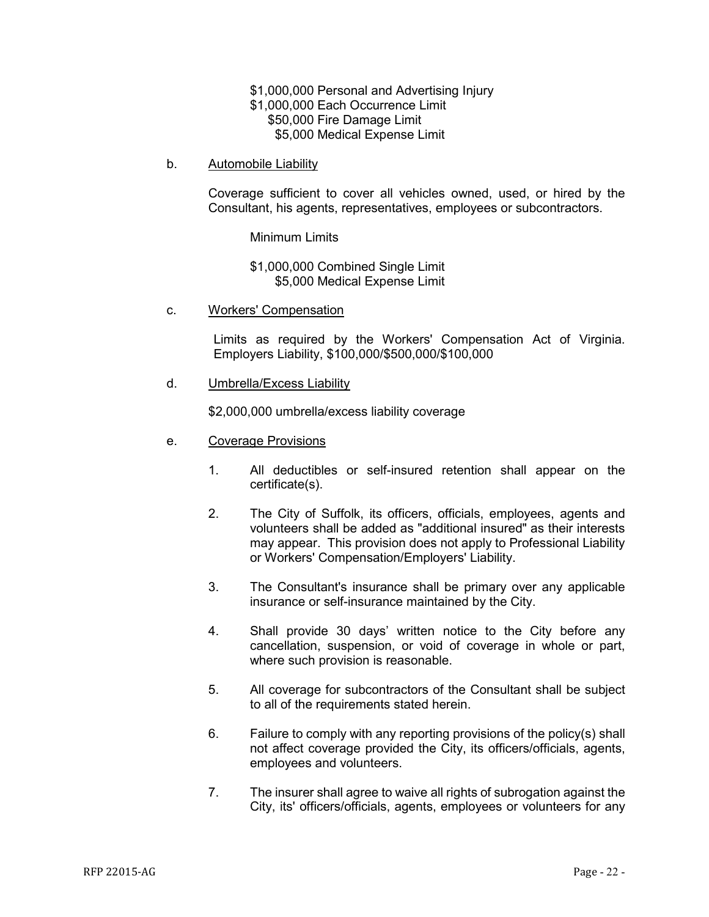\$1,000,000 Personal and Advertising Injury \$1,000,000 Each Occurrence Limit \$50,000 Fire Damage Limit \$5,000 Medical Expense Limit

b. Automobile Liability

Coverage sufficient to cover all vehicles owned, used, or hired by the Consultant, his agents, representatives, employees or subcontractors.

Minimum Limits

\$1,000,000 Combined Single Limit \$5,000 Medical Expense Limit

c. Workers' Compensation

Limits as required by the Workers' Compensation Act of Virginia. Employers Liability, \$100,000/\$500,000/\$100,000

d. Umbrella/Excess Liability

\$2,000,000 umbrella/excess liability coverage

- e. Coverage Provisions
	- 1. All deductibles or self-insured retention shall appear on the certificate(s).
	- 2. The City of Suffolk, its officers, officials, employees, agents and volunteers shall be added as "additional insured" as their interests may appear. This provision does not apply to Professional Liability or Workers' Compensation/Employers' Liability.
	- 3. The Consultant's insurance shall be primary over any applicable insurance or self-insurance maintained by the City.
	- 4. Shall provide 30 days' written notice to the City before any cancellation, suspension, or void of coverage in whole or part, where such provision is reasonable.
	- 5. All coverage for subcontractors of the Consultant shall be subject to all of the requirements stated herein.
	- 6. Failure to comply with any reporting provisions of the policy(s) shall not affect coverage provided the City, its officers/officials, agents, employees and volunteers.
	- 7. The insurer shall agree to waive all rights of subrogation against the City, its' officers/officials, agents, employees or volunteers for any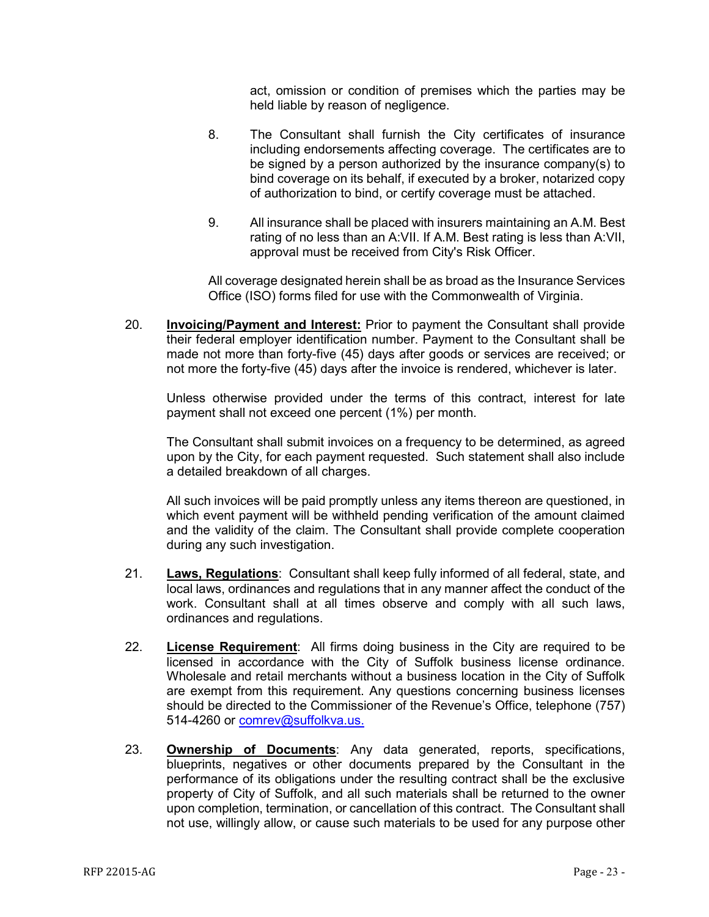act, omission or condition of premises which the parties may be held liable by reason of negligence.

- 8. The Consultant shall furnish the City certificates of insurance including endorsements affecting coverage. The certificates are to be signed by a person authorized by the insurance company(s) to bind coverage on its behalf, if executed by a broker, notarized copy of authorization to bind, or certify coverage must be attached.
- 9. All insurance shall be placed with insurers maintaining an A.M. Best rating of no less than an A:VII. If A.M. Best rating is less than A:VII, approval must be received from City's Risk Officer.

All coverage designated herein shall be as broad as the Insurance Services Office (ISO) forms filed for use with the Commonwealth of Virginia.

20. **Invoicing/Payment and Interest:** Prior to payment the Consultant shall provide their federal employer identification number. Payment to the Consultant shall be made not more than forty-five (45) days after goods or services are received; or not more the forty-five (45) days after the invoice is rendered, whichever is later.

Unless otherwise provided under the terms of this contract, interest for late payment shall not exceed one percent (1%) per month.

The Consultant shall submit invoices on a frequency to be determined, as agreed upon by the City, for each payment requested. Such statement shall also include a detailed breakdown of all charges.

All such invoices will be paid promptly unless any items thereon are questioned, in which event payment will be withheld pending verification of the amount claimed and the validity of the claim. The Consultant shall provide complete cooperation during any such investigation.

- 21. **Laws, Regulations**: Consultant shall keep fully informed of all federal, state, and local laws, ordinances and regulations that in any manner affect the conduct of the work. Consultant shall at all times observe and comply with all such laws, ordinances and regulations.
- 22. **License Requirement**: All firms doing business in the City are required to be licensed in accordance with the City of Suffolk business license ordinance. Wholesale and retail merchants without a business location in the City of Suffolk are exempt from this requirement. Any questions concerning business licenses should be directed to the Commissioner of the Revenue's Office, telephone (757) 514-4260 or [comrev@suffolkva.us.](mailto:comrev@suffolkva.us)
- 23. **Ownership of Documents**: Any data generated, reports, specifications, blueprints, negatives or other documents prepared by the Consultant in the performance of its obligations under the resulting contract shall be the exclusive property of City of Suffolk, and all such materials shall be returned to the owner upon completion, termination, or cancellation of this contract. The Consultant shall not use, willingly allow, or cause such materials to be used for any purpose other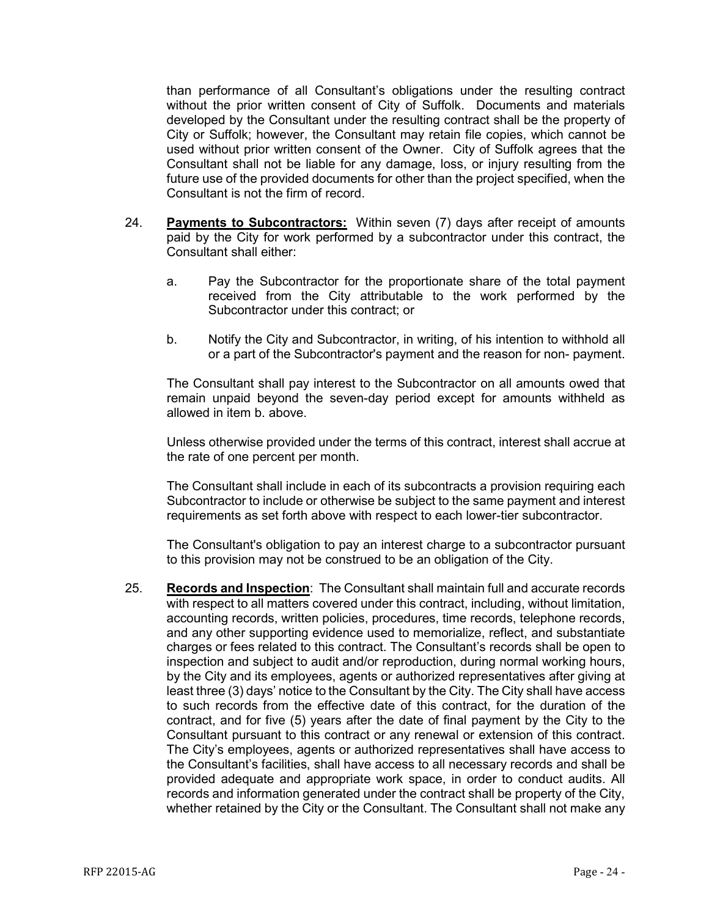than performance of all Consultant's obligations under the resulting contract without the prior written consent of City of Suffolk. Documents and materials developed by the Consultant under the resulting contract shall be the property of City or Suffolk; however, the Consultant may retain file copies, which cannot be used without prior written consent of the Owner. City of Suffolk agrees that the Consultant shall not be liable for any damage, loss, or injury resulting from the future use of the provided documents for other than the project specified, when the Consultant is not the firm of record.

- 24. **Payments to Subcontractors:** Within seven (7) days after receipt of amounts paid by the City for work performed by a subcontractor under this contract, the Consultant shall either:
	- a. Pay the Subcontractor for the proportionate share of the total payment received from the City attributable to the work performed by the Subcontractor under this contract; or
	- b. Notify the City and Subcontractor, in writing, of his intention to withhold all or a part of the Subcontractor's payment and the reason for non- payment.

The Consultant shall pay interest to the Subcontractor on all amounts owed that remain unpaid beyond the seven-day period except for amounts withheld as allowed in item b. above.

Unless otherwise provided under the terms of this contract, interest shall accrue at the rate of one percent per month.

The Consultant shall include in each of its subcontracts a provision requiring each Subcontractor to include or otherwise be subject to the same payment and interest requirements as set forth above with respect to each lower-tier subcontractor.

The Consultant's obligation to pay an interest charge to a subcontractor pursuant to this provision may not be construed to be an obligation of the City.

25. **Records and Inspection**: The Consultant shall maintain full and accurate records with respect to all matters covered under this contract, including, without limitation, accounting records, written policies, procedures, time records, telephone records, and any other supporting evidence used to memorialize, reflect, and substantiate charges or fees related to this contract. The Consultant's records shall be open to inspection and subject to audit and/or reproduction, during normal working hours, by the City and its employees, agents or authorized representatives after giving at least three (3) days' notice to the Consultant by the City. The City shall have access to such records from the effective date of this contract, for the duration of the contract, and for five (5) years after the date of final payment by the City to the Consultant pursuant to this contract or any renewal or extension of this contract. The City's employees, agents or authorized representatives shall have access to the Consultant's facilities, shall have access to all necessary records and shall be provided adequate and appropriate work space, in order to conduct audits. All records and information generated under the contract shall be property of the City, whether retained by the City or the Consultant. The Consultant shall not make any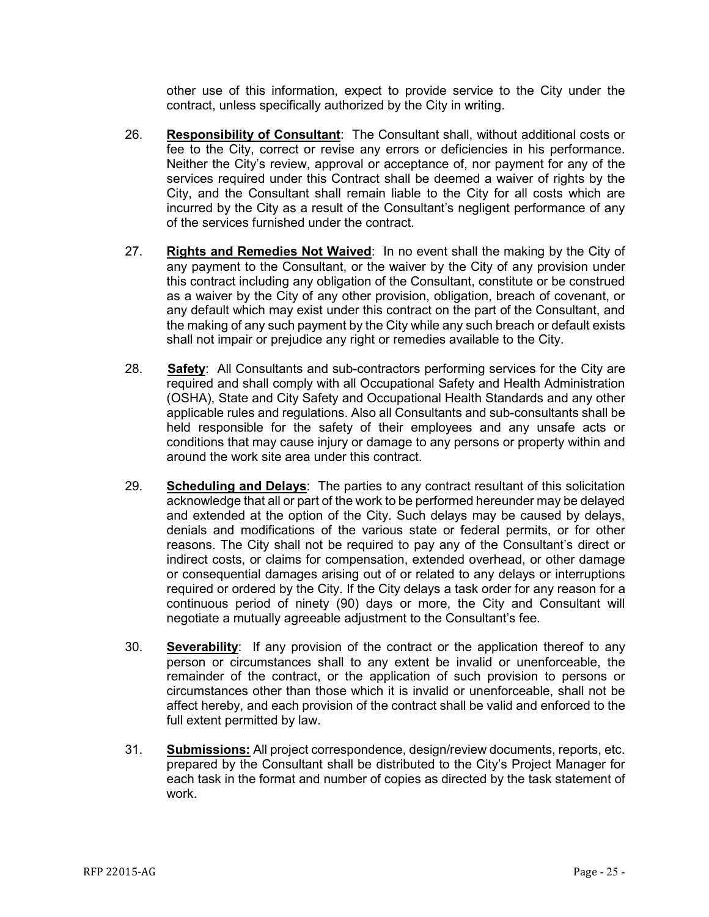other use of this information, expect to provide service to the City under the contract, unless specifically authorized by the City in writing.

- 26. **Responsibility of Consultant**: The Consultant shall, without additional costs or fee to the City, correct or revise any errors or deficiencies in his performance. Neither the City's review, approval or acceptance of, nor payment for any of the services required under this Contract shall be deemed a waiver of rights by the City, and the Consultant shall remain liable to the City for all costs which are incurred by the City as a result of the Consultant's negligent performance of any of the services furnished under the contract.
- 27. **Rights and Remedies Not Waived**: In no event shall the making by the City of any payment to the Consultant, or the waiver by the City of any provision under this contract including any obligation of the Consultant, constitute or be construed as a waiver by the City of any other provision, obligation, breach of covenant, or any default which may exist under this contract on the part of the Consultant, and the making of any such payment by the City while any such breach or default exists shall not impair or prejudice any right or remedies available to the City.
- 28. **Safety**: All Consultants and sub-contractors performing services for the City are required and shall comply with all Occupational Safety and Health Administration (OSHA), State and City Safety and Occupational Health Standards and any other applicable rules and regulations. Also all Consultants and sub-consultants shall be held responsible for the safety of their employees and any unsafe acts or conditions that may cause injury or damage to any persons or property within and around the work site area under this contract.
- 29. **Scheduling and Delays**: The parties to any contract resultant of this solicitation acknowledge that all or part of the work to be performed hereunder may be delayed and extended at the option of the City. Such delays may be caused by delays, denials and modifications of the various state or federal permits, or for other reasons. The City shall not be required to pay any of the Consultant's direct or indirect costs, or claims for compensation, extended overhead, or other damage or consequential damages arising out of or related to any delays or interruptions required or ordered by the City. If the City delays a task order for any reason for a continuous period of ninety (90) days or more, the City and Consultant will negotiate a mutually agreeable adjustment to the Consultant's fee.
- 30. **Severability**: If any provision of the contract or the application thereof to any person or circumstances shall to any extent be invalid or unenforceable, the remainder of the contract, or the application of such provision to persons or circumstances other than those which it is invalid or unenforceable, shall not be affect hereby, and each provision of the contract shall be valid and enforced to the full extent permitted by law.
- 31. **Submissions:** All project correspondence, design/review documents, reports, etc. prepared by the Consultant shall be distributed to the City's Project Manager for each task in the format and number of copies as directed by the task statement of work.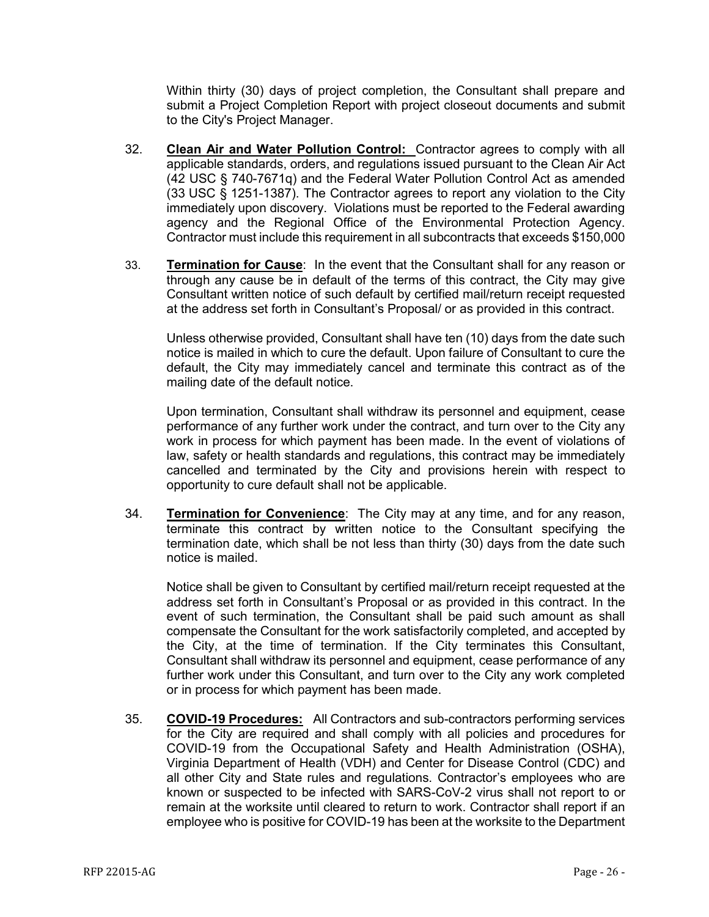Within thirty (30) days of project completion, the Consultant shall prepare and submit a Project Completion Report with project closeout documents and submit to the City's Project Manager.

- 32. **Clean Air and Water Pollution Control:** Contractor agrees to comply with all applicable standards, orders, and regulations issued pursuant to the Clean Air Act (42 USC § 740-7671q) and the Federal Water Pollution Control Act as amended (33 USC § 1251-1387). The Contractor agrees to report any violation to the City immediately upon discovery. Violations must be reported to the Federal awarding agency and the Regional Office of the Environmental Protection Agency. Contractor must include this requirement in all subcontracts that exceeds \$150,000
- 33. **Termination for Cause**: In the event that the Consultant shall for any reason or through any cause be in default of the terms of this contract, the City may give Consultant written notice of such default by certified mail/return receipt requested at the address set forth in Consultant's Proposal/ or as provided in this contract.

Unless otherwise provided, Consultant shall have ten (10) days from the date such notice is mailed in which to cure the default. Upon failure of Consultant to cure the default, the City may immediately cancel and terminate this contract as of the mailing date of the default notice.

Upon termination, Consultant shall withdraw its personnel and equipment, cease performance of any further work under the contract, and turn over to the City any work in process for which payment has been made. In the event of violations of law, safety or health standards and regulations, this contract may be immediately cancelled and terminated by the City and provisions herein with respect to opportunity to cure default shall not be applicable.

34. **Termination for Convenience**: The City may at any time, and for any reason, terminate this contract by written notice to the Consultant specifying the termination date, which shall be not less than thirty (30) days from the date such notice is mailed.

Notice shall be given to Consultant by certified mail/return receipt requested at the address set forth in Consultant's Proposal or as provided in this contract. In the event of such termination, the Consultant shall be paid such amount as shall compensate the Consultant for the work satisfactorily completed, and accepted by the City, at the time of termination. If the City terminates this Consultant, Consultant shall withdraw its personnel and equipment, cease performance of any further work under this Consultant, and turn over to the City any work completed or in process for which payment has been made.

35. **COVID-19 Procedures:** All Contractors and sub-contractors performing services for the City are required and shall comply with all policies and procedures for COVID-19 from the Occupational Safety and Health Administration (OSHA), Virginia Department of Health (VDH) and Center for Disease Control (CDC) and all other City and State rules and regulations. Contractor's employees who are known or suspected to be infected with SARS-CoV-2 virus shall not report to or remain at the worksite until cleared to return to work. Contractor shall report if an employee who is positive for COVID-19 has been at the worksite to the Department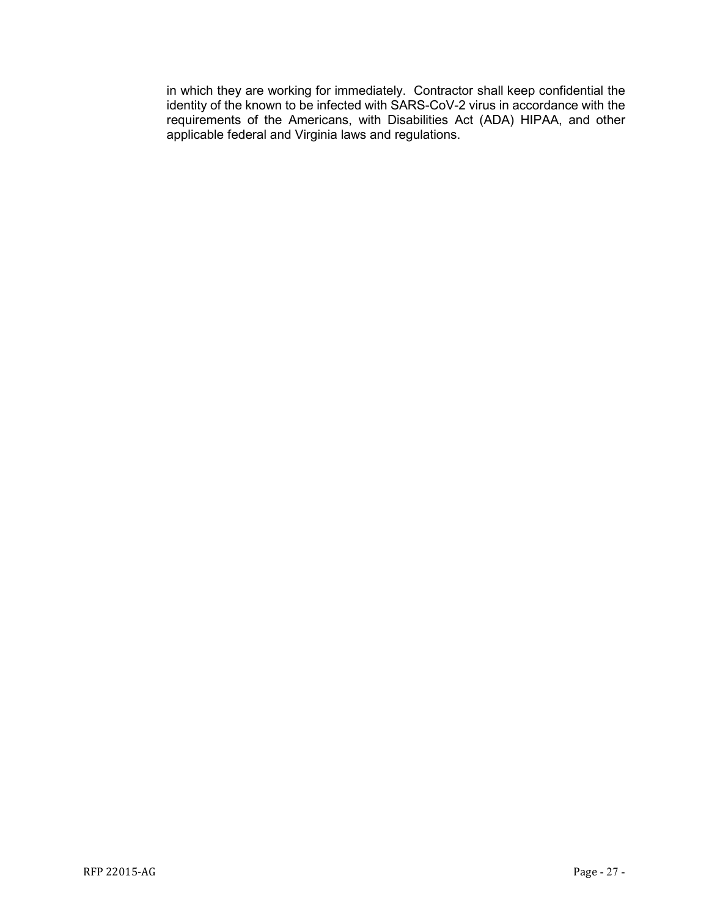in which they are working for immediately. Contractor shall keep confidential the identity of the known to be infected with SARS-CoV-2 virus in accordance with the requirements of the Americans, with Disabilities Act (ADA) HIPAA, and other applicable federal and Virginia laws and regulations.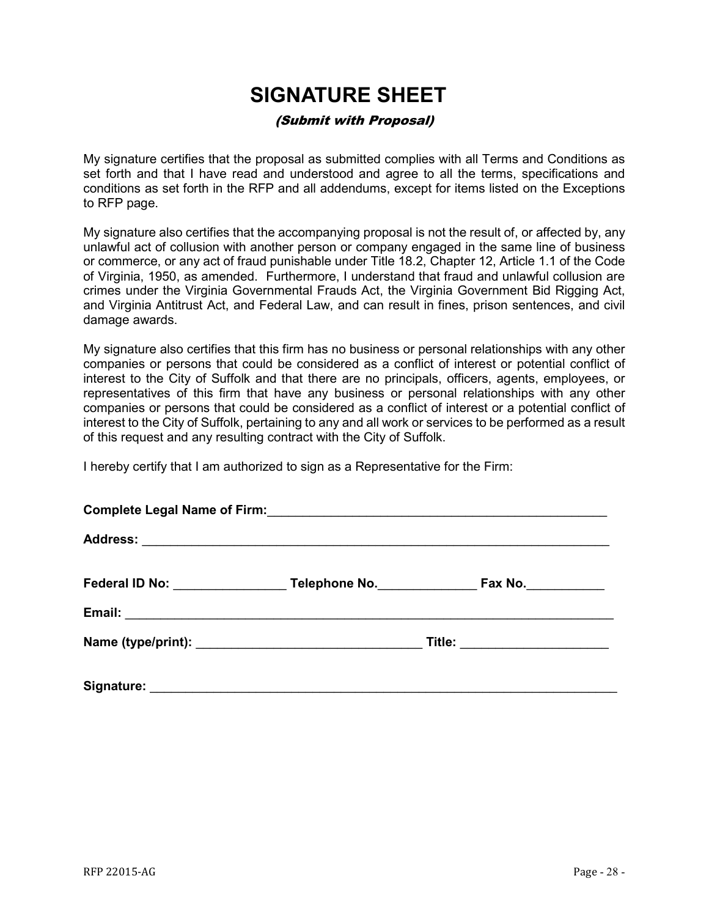## **SIGNATURE SHEET**

## (Submit with Proposal)

<span id="page-27-0"></span>My signature certifies that the proposal as submitted complies with all Terms and Conditions as set forth and that I have read and understood and agree to all the terms, specifications and conditions as set forth in the RFP and all addendums, except for items listed on the Exceptions to RFP page.

My signature also certifies that the accompanying proposal is not the result of, or affected by, any unlawful act of collusion with another person or company engaged in the same line of business or commerce, or any act of fraud punishable under Title 18.2, Chapter 12, Article 1.1 of the Code of Virginia, 1950, as amended. Furthermore, I understand that fraud and unlawful collusion are crimes under the Virginia Governmental Frauds Act, the Virginia Government Bid Rigging Act, and Virginia Antitrust Act, and Federal Law, and can result in fines, prison sentences, and civil damage awards.

My signature also certifies that this firm has no business or personal relationships with any other companies or persons that could be considered as a conflict of interest or potential conflict of interest to the City of Suffolk and that there are no principals, officers, agents, employees, or representatives of this firm that have any business or personal relationships with any other companies or persons that could be considered as a conflict of interest or a potential conflict of interest to the City of Suffolk, pertaining to any and all work or services to be performed as a result of this request and any resulting contract with the City of Suffolk.

I hereby certify that I am authorized to sign as a Representative for the Firm:

|  | Federal ID No: Telephone No. | Fax No.                  |  |  |
|--|------------------------------|--------------------------|--|--|
|  |                              |                          |  |  |
|  |                              | Title: _________________ |  |  |
|  |                              |                          |  |  |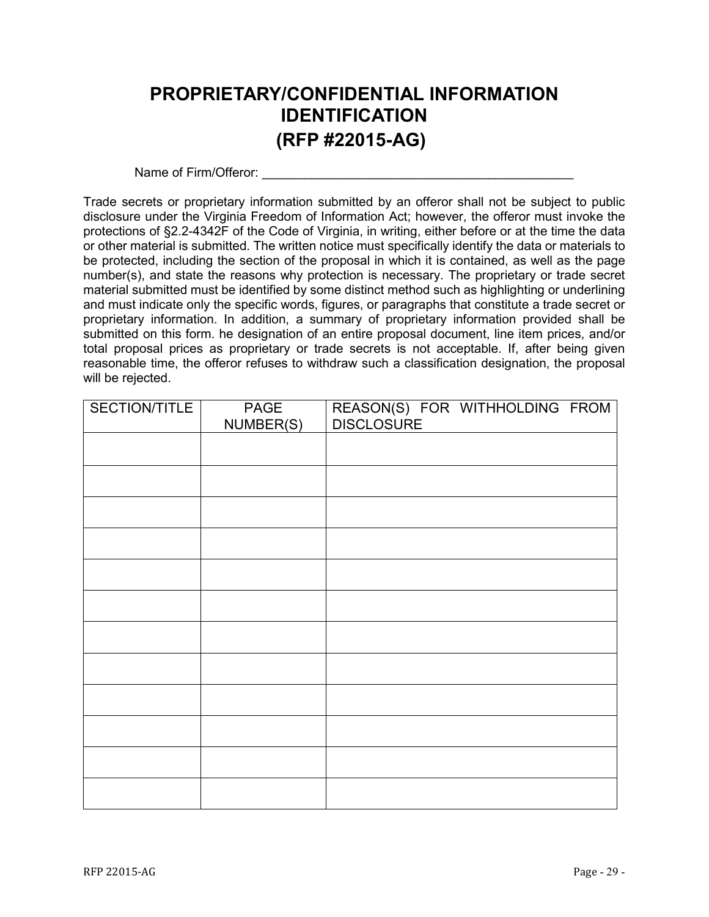## <span id="page-28-0"></span>**PROPRIETARY/CONFIDENTIAL INFORMATION IDENTIFICATION (RFP #22015-AG)**

Name of Firm/Offeror:

Trade secrets or proprietary information submitted by an offeror shall not be subject to public disclosure under the Virginia Freedom of Information Act; however, the offeror must invoke the protections of §2.2-4342F of the Code of Virginia, in writing, either before or at the time the data or other material is submitted. The written notice must specifically identify the data or materials to be protected, including the section of the proposal in which it is contained, as well as the page number(s), and state the reasons why protection is necessary. The proprietary or trade secret material submitted must be identified by some distinct method such as highlighting or underlining and must indicate only the specific words, figures, or paragraphs that constitute a trade secret or proprietary information. In addition, a summary of proprietary information provided shall be submitted on this form. he designation of an entire proposal document, line item prices, and/or total proposal prices as proprietary or trade secrets is not acceptable. If, after being given reasonable time, the offeror refuses to withdraw such a classification designation, the proposal will be rejected.

| SECTION/TITLE | PAGE<br>NUMBER(S) | REASON(S) FOR WITHHOLDING FROM<br>DISCLOSURE |
|---------------|-------------------|----------------------------------------------|
|               |                   |                                              |
|               |                   |                                              |
|               |                   |                                              |
|               |                   |                                              |
|               |                   |                                              |
|               |                   |                                              |
|               |                   |                                              |
|               |                   |                                              |
|               |                   |                                              |
|               |                   |                                              |
|               |                   |                                              |
|               |                   |                                              |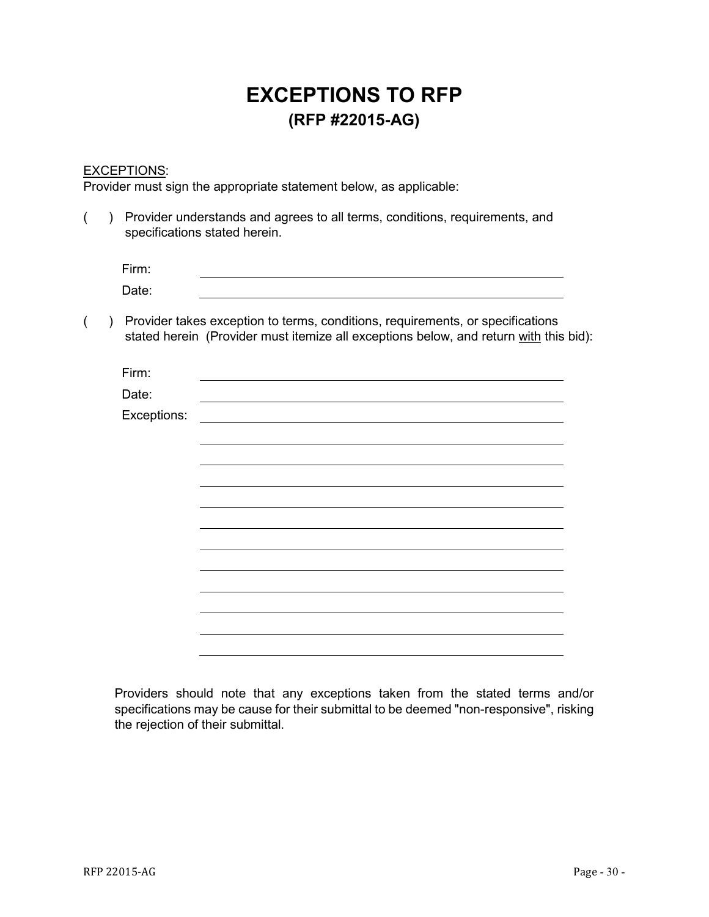## **EXCEPTIONS TO RFP (RFP #22015-AG)**

### <span id="page-29-0"></span>EXCEPTIONS:

Provider must sign the appropriate statement below, as applicable:

| Provider understands and agrees to all terms, conditions, requirements, and<br>specifications stated herein. |  |             |                                                                                                                                                                         |  |
|--------------------------------------------------------------------------------------------------------------|--|-------------|-------------------------------------------------------------------------------------------------------------------------------------------------------------------------|--|
|                                                                                                              |  | Firm:       |                                                                                                                                                                         |  |
|                                                                                                              |  | Date:       |                                                                                                                                                                         |  |
|                                                                                                              |  |             | Provider takes exception to terms, conditions, requirements, or specifications<br>stated herein (Provider must itemize all exceptions below, and return with this bid): |  |
|                                                                                                              |  | Firm:       |                                                                                                                                                                         |  |
|                                                                                                              |  | Date:       |                                                                                                                                                                         |  |
|                                                                                                              |  | Exceptions: |                                                                                                                                                                         |  |
|                                                                                                              |  |             |                                                                                                                                                                         |  |
|                                                                                                              |  |             |                                                                                                                                                                         |  |
|                                                                                                              |  |             |                                                                                                                                                                         |  |
|                                                                                                              |  |             |                                                                                                                                                                         |  |
|                                                                                                              |  |             |                                                                                                                                                                         |  |
|                                                                                                              |  |             |                                                                                                                                                                         |  |
|                                                                                                              |  |             |                                                                                                                                                                         |  |
|                                                                                                              |  |             |                                                                                                                                                                         |  |
|                                                                                                              |  |             |                                                                                                                                                                         |  |
|                                                                                                              |  |             |                                                                                                                                                                         |  |

Providers should note that any exceptions taken from the stated terms and/or specifications may be cause for their submittal to be deemed "non-responsive", risking the rejection of their submittal.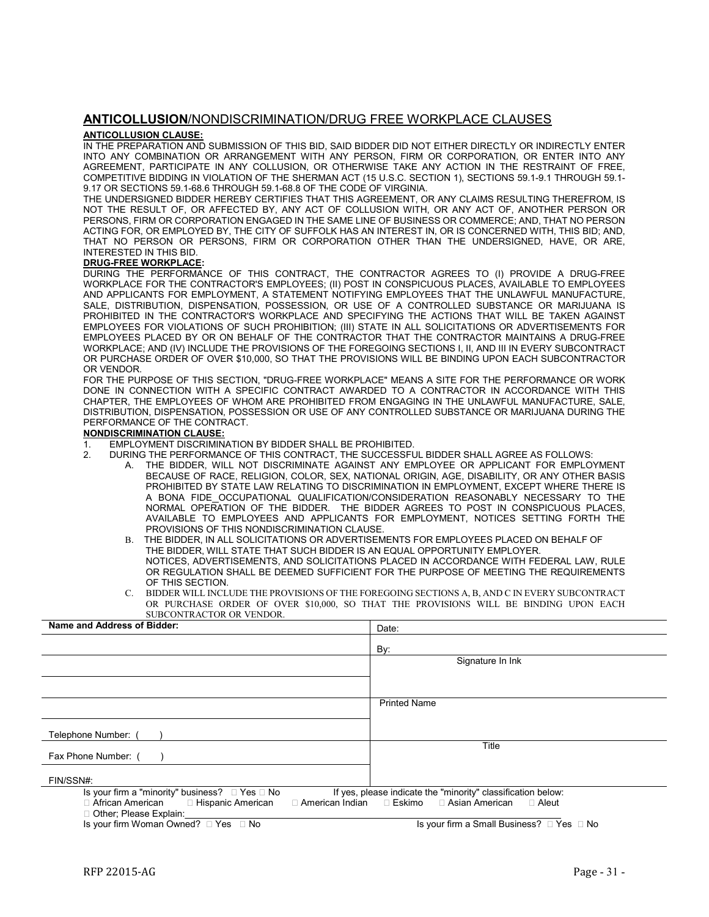#### <span id="page-30-0"></span>**ANTICOLLUSION**/NONDISCRIMINATION/DRUG FREE WORKPLACE CLAUSES

#### **ANTICOLLUSION CLAUSE:**

IN THE PREPARATION AND SUBMISSION OF THIS BID, SAID BIDDER DID NOT EITHER DIRECTLY OR INDIRECTLY ENTER INTO ANY COMBINATION OR ARRANGEMENT WITH ANY PERSON, FIRM OR CORPORATION, OR ENTER INTO ANY AGREEMENT, PARTICIPATE IN ANY COLLUSION, OR OTHERWISE TAKE ANY ACTION IN THE RESTRAINT OF FREE, COMPETITIVE BIDDING IN VIOLATION OF THE SHERMAN ACT (15 U.S.C. SECTION 1), SECTIONS 59.1-9.1 THROUGH 59.1- 9.17 OR SECTIONS 59.1-68.6 THROUGH 59.1-68.8 OF THE CODE OF VIRGINIA.

THE UNDERSIGNED BIDDER HEREBY CERTIFIES THAT THIS AGREEMENT, OR ANY CLAIMS RESULTING THEREFROM, IS NOT THE RESULT OF, OR AFFECTED BY, ANY ACT OF COLLUSION WITH, OR ANY ACT OF, ANOTHER PERSON OR PERSONS, FIRM OR CORPORATION ENGAGED IN THE SAME LINE OF BUSINESS OR COMMERCE; AND, THAT NO PERSON ACTING FOR, OR EMPLOYED BY, THE CITY OF SUFFOLK HAS AN INTEREST IN, OR IS CONCERNED WITH, THIS BID; AND, THAT NO PERSON OR PERSONS, FIRM OR CORPORATION OTHER THAN THE UNDERSIGNED, HAVE, OR ARE, INTERESTED IN THIS BID.

#### **DRUG-FREE WORKPLACE:**

DURING THE PERFORMANCE OF THIS CONTRACT, THE CONTRACTOR AGREES TO (I) PROVIDE A DRUG-FREE WORKPLACE FOR THE CONTRACTOR'S EMPLOYEES; (II) POST IN CONSPICUOUS PLACES, AVAILABLE TO EMPLOYEES AND APPLICANTS FOR EMPLOYMENT, A STATEMENT NOTIFYING EMPLOYEES THAT THE UNLAWFUL MANUFACTURE, SALE, DISTRIBUTION, DISPENSATION, POSSESSION, OR USE OF A CONTROLLED SUBSTANCE OR MARIJUANA IS PROHIBITED IN THE CONTRACTOR'S WORKPLACE AND SPECIFYING THE ACTIONS THAT WILL BE TAKEN AGAINST EMPLOYEES FOR VIOLATIONS OF SUCH PROHIBITION; (III) STATE IN ALL SOLICITATIONS OR ADVERTISEMENTS FOR EMPLOYEES PLACED BY OR ON BEHALF OF THE CONTRACTOR THAT THE CONTRACTOR MAINTAINS A DRUG-FREE WORKPLACE; AND (IV) INCLUDE THE PROVISIONS OF THE FOREGOING SECTIONS I, II, AND III IN EVERY SUBCONTRACT OR PURCHASE ORDER OF OVER \$10,000, SO THAT THE PROVISIONS WILL BE BINDING UPON EACH SUBCONTRACTOR OR VENDOR.

FOR THE PURPOSE OF THIS SECTION, "DRUG-FREE WORKPLACE" MEANS A SITE FOR THE PERFORMANCE OR WORK DONE IN CONNECTION WITH A SPECIFIC CONTRACT AWARDED TO A CONTRACTOR IN ACCORDANCE WITH THIS CHAPTER, THE EMPLOYEES OF WHOM ARE PROHIBITED FROM ENGAGING IN THE UNLAWFUL MANUFACTURE, SALE, DISTRIBUTION, DISPENSATION, POSSESSION OR USE OF ANY CONTROLLED SUBSTANCE OR MARIJUANA DURING THE PERFORMANCE OF THE CONTRACT.

#### **NONDISCRIMINATION CLAUSE:**

- 1. EMPLOYMENT DISCRIMINATION BY BIDDER SHALL BE PROHIBITED.
- 2. DURING THE PERFORMANCE OF THIS CONTRACT, THE SUCCESSFUL BIDDER SHALL AGREE AS FOLLOWS:
	- A. THE BIDDER, WILL NOT DISCRIMINATE AGAINST ANY EMPLOYEE OR APPLICANT FOR EMPLOYMENT BECAUSE OF RACE, RELIGION, COLOR, SEX, NATIONAL ORIGIN, AGE, DISABILITY, OR ANY OTHER BASIS PROHIBITED BY STATE LAW RELATING TO DISCRIMINATION IN EMPLOYMENT, EXCEPT WHERE THERE IS A BONA FIDE\_OCCUPATIONAL QUALIFICATION/CONSIDERATION REASONABLY NECESSARY TO THE NORMAL OPERATION OF THE BIDDER. THE BIDDER AGREES TO POST IN CONSPICUOUS PLACES, AVAILABLE TO EMPLOYEES AND APPLICANTS FOR EMPLOYMENT, NOTICES SETTING FORTH THE PROVISIONS OF THIS NONDISCRIMINATION CLAUSE.
	- B. THE BIDDER, IN ALL SOLICITATIONS OR ADVERTISEMENTS FOR EMPLOYEES PLACED ON BEHALF OF THE BIDDER, WILL STATE THAT SUCH BIDDER IS AN EQUAL OPPORTUNITY EMPLOYER. NOTICES, ADVERTISEMENTS, AND SOLICITATIONS PLACED IN ACCORDANCE WITH FEDERAL LAW, RULE OR REGULATION SHALL BE DEEMED SUFFICIENT FOR THE PURPOSE OF MEETING THE REQUIREMENTS OF THIS SECTION.
	- C. BIDDER WILL INCLUDE THE PROVISIONS OF THE FOREGOING SECTIONS A, B, AND C IN EVERY SUBCONTRACT OR PURCHASE ORDER OF OVER \$10,000, SO THAT THE PROVISIONS WILL BE BINDING UPON EACH SUBCONTRACTOR OR VENDOR.

| Name and Address of Bidder:                                                                                              | Date:                                                                      |  |
|--------------------------------------------------------------------------------------------------------------------------|----------------------------------------------------------------------------|--|
|                                                                                                                          | By:                                                                        |  |
|                                                                                                                          | Signature In Ink                                                           |  |
|                                                                                                                          |                                                                            |  |
|                                                                                                                          | <b>Printed Name</b>                                                        |  |
|                                                                                                                          |                                                                            |  |
| Telephone Number: (                                                                                                      |                                                                            |  |
| Fax Phone Number: (                                                                                                      | Title                                                                      |  |
| FIN/SSN#:                                                                                                                |                                                                            |  |
| Is your firm a "minority" business? $\Box$ Yes $\Box$ No<br>If yes, please indicate the "minority" classification below: |                                                                            |  |
| □ African American<br>□ Hispanic American<br>Other; Please Explain:                                                      | $\Box$ American Indian $\Box$ Eskimo $\Box$ Asian American<br>$\Box$ Aleut |  |

Is your firm Woman Owned? □ Yes □ No Is your firm a Small Business? □ Yes □ No